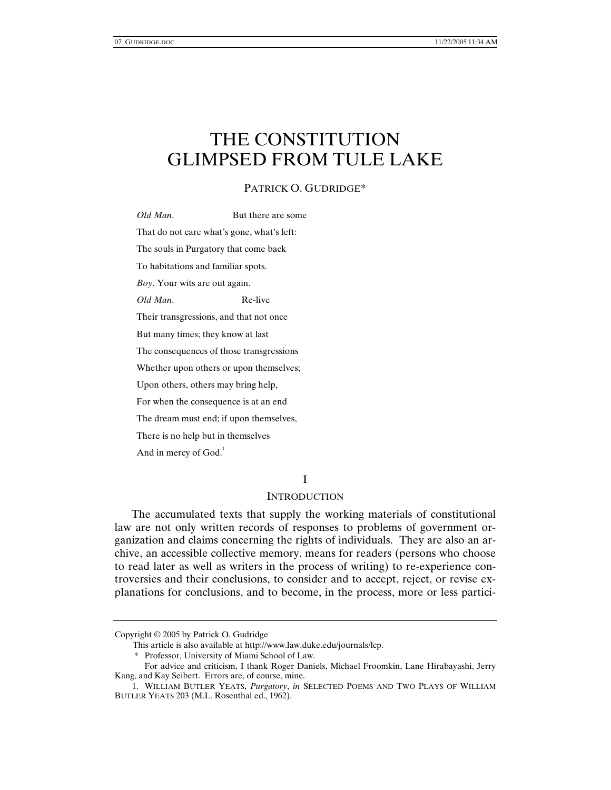# THE CONSTITUTION GLIMPSED FROM TULE LAKE

## PATRICK O. GUDRIDGE\*

*Old Man*. But there are some That do not care what's gone, what's left: The souls in Purgatory that come back To habitations and familiar spots. *Boy*. Your wits are out again. *Old Man*. Re-live Their transgressions, and that not once But many times; they know at last The consequences of those transgressions Whether upon others or upon themselves; Upon others, others may bring help, For when the consequence is at an end The dream must end; if upon themselves, There is no help but in themselves And in mercy of God.<sup>1</sup>

#### I

# **INTRODUCTION**

The accumulated texts that supply the working materials of constitutional law are not only written records of responses to problems of government organization and claims concerning the rights of individuals. They are also an archive, an accessible collective memory, means for readers (persons who choose to read later as well as writers in the process of writing) to re-experience controversies and their conclusions, to consider and to accept, reject, or revise explanations for conclusions, and to become, in the process, more or less partici-

Copyright © 2005 by Patrick O. Gudridge

This article is also available at http://www.law.duke.edu/journals/lcp.

 <sup>\*</sup> Professor, University of Miami School of Law.

For advice and criticism, I thank Roger Daniels, Michael Froomkin, Lane Hirabayashi, Jerry Kang, and Kay Seibert. Errors are, of course, mine.

 <sup>1.</sup> WILLIAM BUTLER YEATS, *Purgatory*, *in* SELECTED POEMS AND TWO PLAYS OF WILLIAM BUTLER YEATS 203 (M.L. Rosenthal ed., 1962).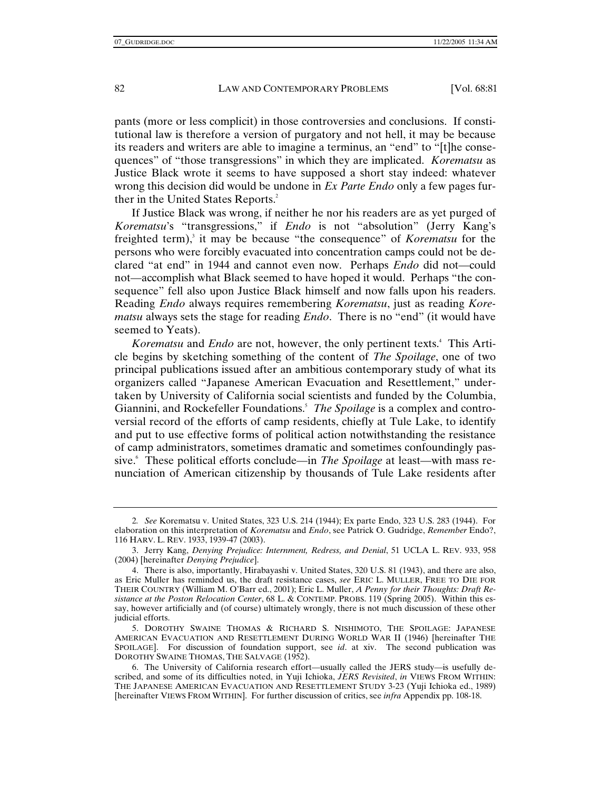pants (more or less complicit) in those controversies and conclusions. If constitutional law is therefore a version of purgatory and not hell, it may be because its readers and writers are able to imagine a terminus, an "end" to "[t]he consequences" of "those transgressions" in which they are implicated. *Korematsu* as Justice Black wrote it seems to have supposed a short stay indeed: whatever wrong this decision did would be undone in *Ex Parte Endo* only a few pages further in the United States Reports.<sup>2</sup>

If Justice Black was wrong, if neither he nor his readers are as yet purged of *Korematsu*'s "transgressions," if *Endo* is not "absolution" (Jerry Kang's freighted term),<sup>3</sup> it may be because "the consequence" of *Korematsu* for the persons who were forcibly evacuated into concentration camps could not be declared "at end" in 1944 and cannot even now. Perhaps *Endo* did not—could not—accomplish what Black seemed to have hoped it would. Perhaps "the consequence" fell also upon Justice Black himself and now falls upon his readers. Reading *Endo* always requires remembering *Korematsu*, just as reading *Korematsu* always sets the stage for reading *Endo*. There is no "end" (it would have seemed to Yeats).

Korematsu and *Endo* are not, however, the only pertinent texts.<sup>4</sup> This Article begins by sketching something of the content of *The Spoilage*, one of two principal publications issued after an ambitious contemporary study of what its organizers called "Japanese American Evacuation and Resettlement," undertaken by University of California social scientists and funded by the Columbia, Giannini, and Rockefeller Foundations.<sup>5</sup> The Spoilage is a complex and controversial record of the efforts of camp residents, chiefly at Tule Lake, to identify and put to use effective forms of political action notwithstanding the resistance of camp administrators, sometimes dramatic and sometimes confoundingly passive.6 These political efforts conclude—in *The Spoilage* at least—with mass renunciation of American citizenship by thousands of Tule Lake residents after

<sup>2</sup>*. See* Korematsu v. United States, 323 U.S. 214 (1944); Ex parte Endo, 323 U.S. 283 (1944). For elaboration on this interpretation of *Korematsu* and *Endo*, see Patrick O. Gudridge, *Remember* Endo?, 116 HARV. L. REV. 1933, 1939-47 (2003).

 <sup>3.</sup> Jerry Kang, *Denying Prejudice: Internment, Redress, and Denial*, 51 UCLA L. REV. 933, 958 (2004) [hereinafter *Denying Prejudice*].

 <sup>4.</sup> There is also, importantly, Hirabayashi v. United States, 320 U.S. 81 (1943), and there are also, as Eric Muller has reminded us, the draft resistance cases, *see* ERIC L. MULLER, FREE TO DIE FOR THEIR COUNTRY (William M. O'Barr ed., 2001); Eric L. Muller, *A Penny for their Thoughts: Draft Resistance at the Poston Relocation Center*, 68 L. & CONTEMP. PROBS. 119 (Spring 2005). Within this essay, however artificially and (of course) ultimately wrongly, there is not much discussion of these other judicial efforts.

 <sup>5.</sup> DOROTHY SWAINE THOMAS & RICHARD S. NISHIMOTO, THE SPOILAGE: JAPANESE AMERICAN EVACUATION AND RESETTLEMENT DURING WORLD WAR II (1946) [hereinafter THE SPOILAGE]. For discussion of foundation support, see *id*. at xiv. The second publication was DOROTHY SWAINE THOMAS, THE SALVAGE (1952).

 <sup>6.</sup> The University of California research effort—usually called the JERS study—is usefully described, and some of its difficulties noted, in Yuji Ichioka, *JERS Revisited*, *in* VIEWS FROM WITHIN: THE JAPANESE AMERICAN EVACUATION AND RESETTLEMENT STUDY 3-23 (Yuji Ichioka ed., 1989) [hereinafter VIEWS FROM WITHIN]. For further discussion of critics, see *infra* Appendix pp. 108-18.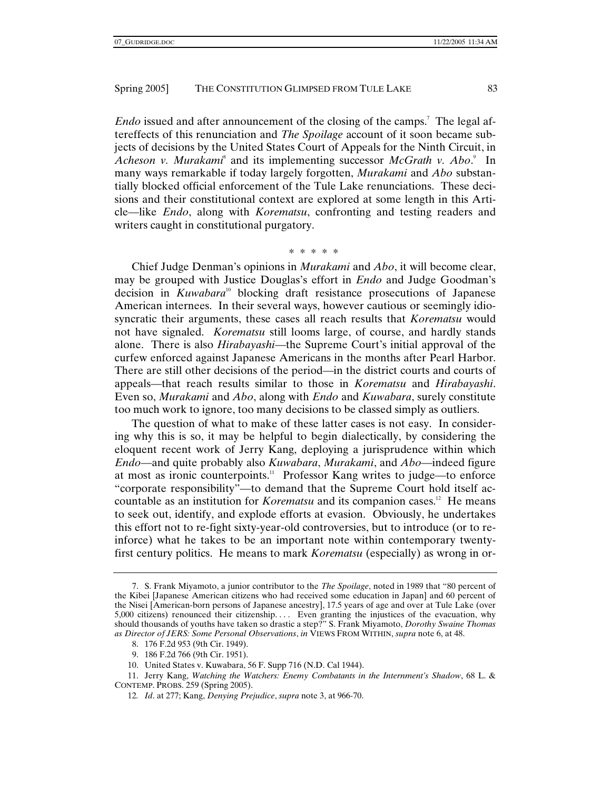*Endo* issued and after announcement of the closing of the camps.<sup>7</sup> The legal aftereffects of this renunciation and *The Spoilage* account of it soon became subjects of decisions by the United States Court of Appeals for the Ninth Circuit, in Acheson v. Murakami<sup>8</sup> and its implementing successor *McGrath v. Abo.*<sup>9</sup> In many ways remarkable if today largely forgotten, *Murakami* and *Abo* substantially blocked official enforcement of the Tule Lake renunciations. These decisions and their constitutional context are explored at some length in this Article—like *Endo*, along with *Korematsu*, confronting and testing readers and writers caught in constitutional purgatory.

#### \* \* \* \* \*

Chief Judge Denman's opinions in *Murakami* and *Abo*, it will become clear, may be grouped with Justice Douglas's effort in *Endo* and Judge Goodman's decision in *Kuwabara*10 blocking draft resistance prosecutions of Japanese American internees. In their several ways, however cautious or seemingly idiosyncratic their arguments, these cases all reach results that *Korematsu* would not have signaled. *Korematsu* still looms large, of course, and hardly stands alone. There is also *Hirabayashi*—the Supreme Court's initial approval of the curfew enforced against Japanese Americans in the months after Pearl Harbor. There are still other decisions of the period—in the district courts and courts of appeals—that reach results similar to those in *Korematsu* and *Hirabayashi*. Even so, *Murakami* and *Abo*, along with *Endo* and *Kuwabara*, surely constitute too much work to ignore, too many decisions to be classed simply as outliers.

The question of what to make of these latter cases is not easy. In considering why this is so, it may be helpful to begin dialectically, by considering the eloquent recent work of Jerry Kang, deploying a jurisprudence within which *Endo*—and quite probably also *Kuwabara*, *Murakami*, and *Abo*—indeed figure at most as ironic counterpoints.<sup>11</sup> Professor Kang writes to judge—to enforce "corporate responsibility"—to demand that the Supreme Court hold itself accountable as an institution for *Korematsu* and its companion cases.<sup>12</sup> He means to seek out, identify, and explode efforts at evasion. Obviously, he undertakes this effort not to re-fight sixty-year-old controversies, but to introduce (or to reinforce) what he takes to be an important note within contemporary twentyfirst century politics. He means to mark *Korematsu* (especially) as wrong in or-

 <sup>7.</sup> S. Frank Miyamoto, a junior contributor to the *The Spoilage*, noted in 1989 that "80 percent of the Kibei [Japanese American citizens who had received some education in Japan] and 60 percent of the Nisei [American-born persons of Japanese ancestry], 17.5 years of age and over at Tule Lake (over 5,000 citizens) renounced their citizenship. . . . Even granting the injustices of the evacuation, why should thousands of youths have taken so drastic a step?" S. Frank Miyamoto, *Dorothy Swaine Thomas as Director of JERS: Some Personal Observations*, *in* VIEWS FROM WITHIN, *supra* note 6, at 48.

 <sup>8. 176</sup> F.2d 953 (9th Cir. 1949).

 <sup>9. 186</sup> F.2d 766 (9th Cir. 1951).

 <sup>10.</sup> United States v. Kuwabara, 56 F. Supp 716 (N.D. Cal 1944).

 <sup>11.</sup> Jerry Kang, *Watching the Watchers: Enemy Combatants in the Internment's Shadow*, 68 L. & CONTEMP. PROBS. 259 (Spring 2005).

<sup>12</sup>*. Id*. at 277; Kang, *Denying Prejudice*, *supra* note 3, at 966-70.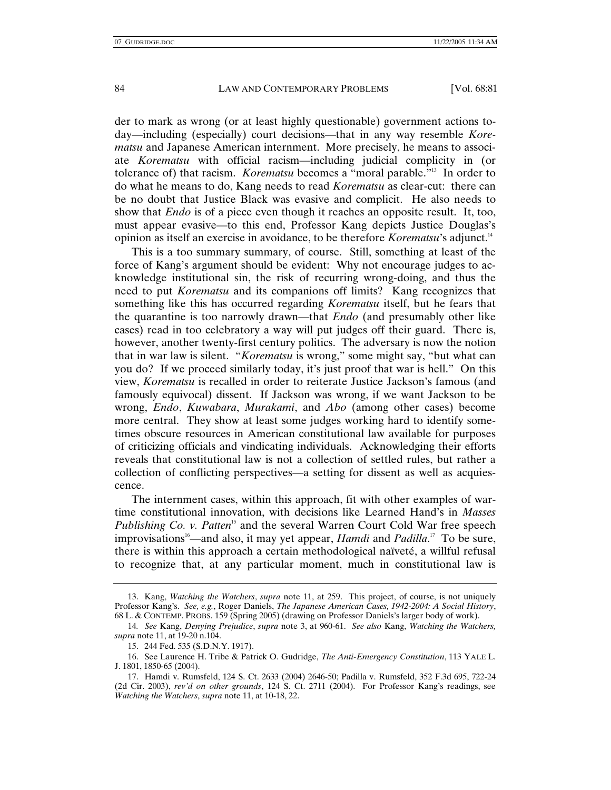der to mark as wrong (or at least highly questionable) government actions today—including (especially) court decisions—that in any way resemble *Korematsu* and Japanese American internment. More precisely, he means to associate *Korematsu* with official racism—including judicial complicity in (or tolerance of) that racism. *Korematsu* becomes a "moral parable."13 In order to do what he means to do, Kang needs to read *Korematsu* as clear-cut: there can be no doubt that Justice Black was evasive and complicit. He also needs to show that *Endo* is of a piece even though it reaches an opposite result. It, too, must appear evasive—to this end, Professor Kang depicts Justice Douglas's opinion as itself an exercise in avoidance, to be therefore *Korematsu*'s adjunct.14

This is a too summary summary, of course. Still, something at least of the force of Kang's argument should be evident: Why not encourage judges to acknowledge institutional sin, the risk of recurring wrong-doing, and thus the need to put *Korematsu* and its companions off limits? Kang recognizes that something like this has occurred regarding *Korematsu* itself, but he fears that the quarantine is too narrowly drawn—that *Endo* (and presumably other like cases) read in too celebratory a way will put judges off their guard. There is, however, another twenty-first century politics. The adversary is now the notion that in war law is silent. "*Korematsu* is wrong," some might say, "but what can you do? If we proceed similarly today, it's just proof that war is hell." On this view, *Korematsu* is recalled in order to reiterate Justice Jackson's famous (and famously equivocal) dissent. If Jackson was wrong, if we want Jackson to be wrong, *Endo*, *Kuwabara*, *Murakami*, and *Abo* (among other cases) become more central. They show at least some judges working hard to identify sometimes obscure resources in American constitutional law available for purposes of criticizing officials and vindicating individuals. Acknowledging their efforts reveals that constitutional law is not a collection of settled rules, but rather a collection of conflicting perspectives—a setting for dissent as well as acquiescence.

The internment cases, within this approach, fit with other examples of wartime constitutional innovation, with decisions like Learned Hand's in *Masses Publishing Co. v. Patten*<sup>15</sup> and the several Warren Court Cold War free speech improvisations<sup>16</sup>—and also, it may yet appear, *Hamdi* and *Padilla*.<sup>17</sup> To be sure, there is within this approach a certain methodological naïveté, a willful refusal to recognize that, at any particular moment, much in constitutional law is

 <sup>13.</sup> Kang, *Watching the Watchers*, *supra* note 11, at 259. This project, of course, is not uniquely Professor Kang's. *See, e.g.*, Roger Daniels, *The Japanese American Cases, 1942-2004: A Social History*, 68 L. & CONTEMP. PROBS. 159 (Spring 2005) (drawing on Professor Daniels's larger body of work).

<sup>14</sup>*. See* Kang, *Denying Prejudice*, *supra* note 3, at 960-61. *See also* Kang, *Watching the Watchers, supra* note 11, at 19-20 n.104.

 <sup>15. 244</sup> Fed. 535 (S.D.N.Y. 1917).

 <sup>16.</sup> See Laurence H. Tribe & Patrick O. Gudridge, *The Anti-Emergency Constitution*, 113 YALE L. J. 1801, 1850-65 (2004).

 <sup>17.</sup> Hamdi v. Rumsfeld, 124 S. Ct. 2633 (2004) 2646-50; Padilla v. Rumsfeld, 352 F.3d 695, 722-24 (2d Cir. 2003), *rev'd on other grounds*, 124 S. Ct. 2711 (2004). For Professor Kang's readings, see *Watching the Watchers*, *supra* note 11, at 10-18, 22.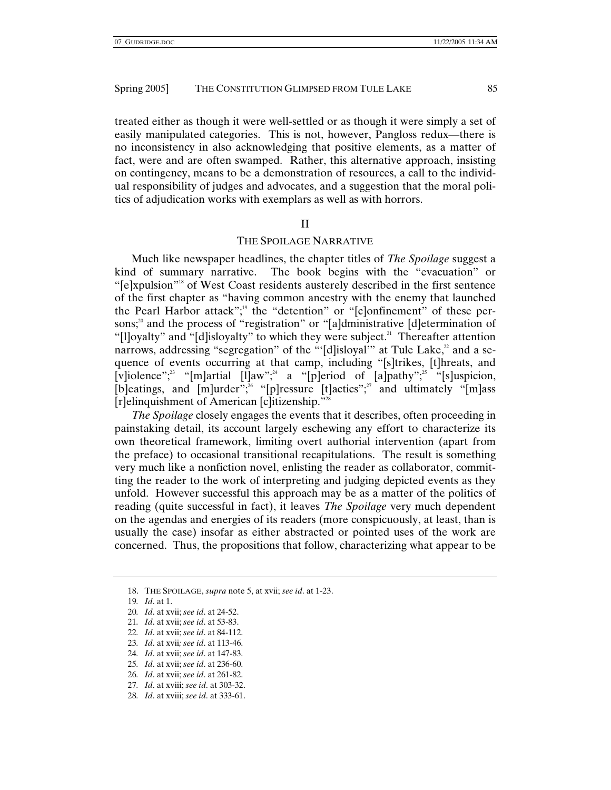treated either as though it were well-settled or as though it were simply a set of easily manipulated categories. This is not, however, Pangloss redux—there is no inconsistency in also acknowledging that positive elements, as a matter of fact, were and are often swamped. Rather, this alternative approach, insisting on contingency, means to be a demonstration of resources, a call to the individual responsibility of judges and advocates, and a suggestion that the moral politics of adjudication works with exemplars as well as with horrors.

## II

## THE SPOILAGE NARRATIVE

Much like newspaper headlines, the chapter titles of *The Spoilage* suggest a kind of summary narrative. The book begins with the "evacuation" or "[e]xpulsion"18 of West Coast residents austerely described in the first sentence of the first chapter as "having common ancestry with the enemy that launched the Pearl Harbor attack";<sup>19</sup> the "detention" or "[c]onfinement" of these persons;<sup>20</sup> and the process of "registration" or "[a]dministrative [d]etermination of "[l]oyalty" and "[d]isloyalty" to which they were subject.<sup>21</sup> Thereafter attention narrows, addressing "segregation" of the "'[d]isloyal'" at Tule Lake, $^2$  and a sequence of events occurring at that camp, including "[s]trikes, [t]hreats, and [v]iolence";<sup>23</sup> "[m]artial [l]aw";<sup>24</sup> a "[p]eriod of [a]pathy";<sup>25</sup> "[s]uspicion, [b]eatings, and [m]urder";<sup>26</sup> "[p]ressure [t]actics";<sup>27</sup> and ultimately "[m]ass [r]elinquishment of American [c]itizenship."28

*The Spoilage* closely engages the events that it describes, often proceeding in painstaking detail, its account largely eschewing any effort to characterize its own theoretical framework, limiting overt authorial intervention (apart from the preface) to occasional transitional recapitulations. The result is something very much like a nonfiction novel, enlisting the reader as collaborator, committing the reader to the work of interpreting and judging depicted events as they unfold. However successful this approach may be as a matter of the politics of reading (quite successful in fact), it leaves *The Spoilage* very much dependent on the agendas and energies of its readers (more conspicuously, at least, than is usually the case) insofar as either abstracted or pointed uses of the work are concerned. Thus, the propositions that follow, characterizing what appear to be

21*. Id*. at xvii; *see id*. at 53-83.

- 25*. Id*. at xvii; *see id*. at 236-60.
- 26*. Id*. at xvii; *see id*. at 261-82.
- 27*. Id*. at xviii; *see id*. at 303-32.
- 28*. Id*. at xviii; *see id*. at 333-61.

 <sup>18.</sup> THE SPOILAGE, *supra* note 5, at xvii; *see id*. at 1-23.

<sup>19</sup>*. Id*. at 1.

<sup>20</sup>*. Id*. at xvii; *see id*. at 24-52.

<sup>22</sup>*. Id*. at xvii; *see id*. at 84-112.

<sup>23</sup>*. Id*. at xvii*; see id*. at 113-46.

<sup>24</sup>*. Id*. at xvii; *see id*. at 147-83.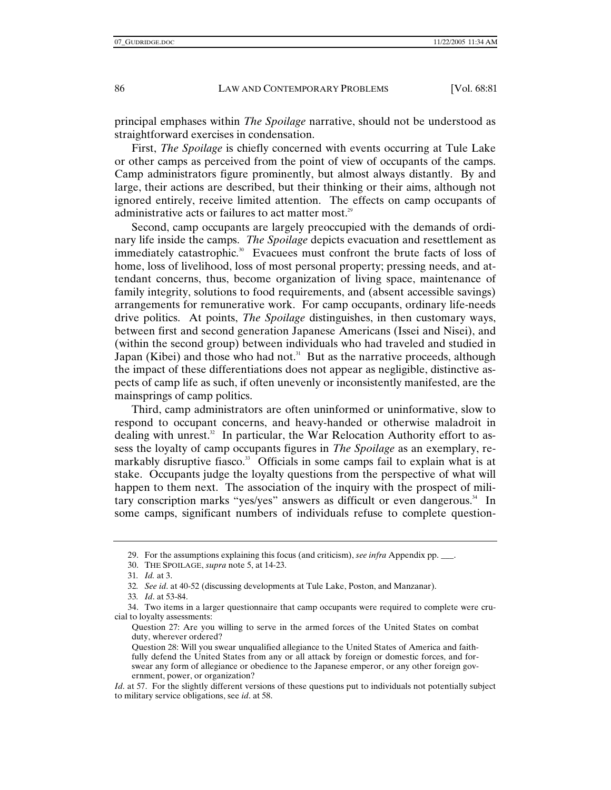principal emphases within *The Spoilage* narrative, should not be understood as straightforward exercises in condensation.

First, *The Spoilage* is chiefly concerned with events occurring at Tule Lake or other camps as perceived from the point of view of occupants of the camps. Camp administrators figure prominently, but almost always distantly. By and large, their actions are described, but their thinking or their aims, although not ignored entirely, receive limited attention. The effects on camp occupants of administrative acts or failures to act matter most.<sup>29</sup>

Second, camp occupants are largely preoccupied with the demands of ordinary life inside the camps. *The Spoilage* depicts evacuation and resettlement as immediately catastrophic.<sup>30</sup> Evacuees must confront the brute facts of loss of home, loss of livelihood, loss of most personal property; pressing needs, and attendant concerns, thus, become organization of living space, maintenance of family integrity, solutions to food requirements, and (absent accessible savings) arrangements for remunerative work. For camp occupants, ordinary life-needs drive politics. At points, *The Spoilage* distinguishes, in then customary ways, between first and second generation Japanese Americans (Issei and Nisei), and (within the second group) between individuals who had traveled and studied in Japan (Kibei) and those who had not.<sup>31</sup> But as the narrative proceeds, although the impact of these differentiations does not appear as negligible, distinctive aspects of camp life as such, if often unevenly or inconsistently manifested, are the mainsprings of camp politics.

Third, camp administrators are often uninformed or uninformative, slow to respond to occupant concerns, and heavy-handed or otherwise maladroit in dealing with unrest.<sup>32</sup> In particular, the War Relocation Authority effort to assess the loyalty of camp occupants figures in *The Spoilage* as an exemplary, remarkably disruptive fiasco.<sup>33</sup> Officials in some camps fail to explain what is at stake. Occupants judge the loyalty questions from the perspective of what will happen to them next. The association of the inquiry with the prospect of military conscription marks "yes/yes" answers as difficult or even dangerous. $34$  In some camps, significant numbers of individuals refuse to complete question-

 <sup>29.</sup> For the assumptions explaining this focus (and criticism), *see infra* Appendix pp. \_\_\_.

 <sup>30.</sup> THE SPOILAGE, *supra* note 5, at 14-23.

<sup>31</sup>*. Id.* at 3.

<sup>32</sup>*. See id*. at 40-52 (discussing developments at Tule Lake, Poston, and Manzanar).

<sup>33</sup>*. Id*. at 53-84.

 <sup>34.</sup> Two items in a larger questionnaire that camp occupants were required to complete were crucial to loyalty assessments:

Question 27: Are you willing to serve in the armed forces of the United States on combat duty, wherever ordered?

Question 28: Will you swear unqualified allegiance to the United States of America and faithfully defend the United States from any or all attack by foreign or domestic forces, and forswear any form of allegiance or obedience to the Japanese emperor, or any other foreign government, power, or organization?

*Id.* at 57. For the slightly different versions of these questions put to individuals not potentially subject to military service obligations, see *id*. at 58.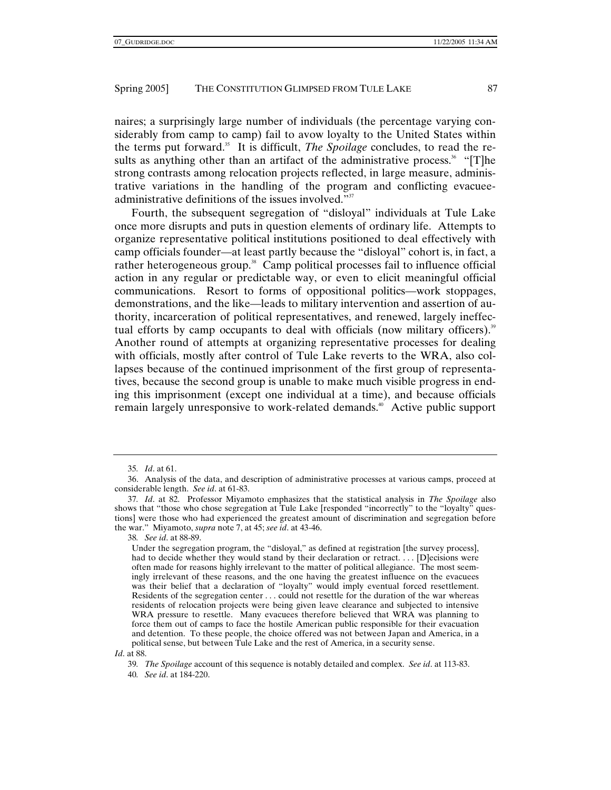naires; a surprisingly large number of individuals (the percentage varying considerably from camp to camp) fail to avow loyalty to the United States within the terms put forward.35 It is difficult, *The Spoilage* concludes, to read the results as anything other than an artifact of the administrative process.<sup>36</sup> "[T]he strong contrasts among relocation projects reflected, in large measure, administrative variations in the handling of the program and conflicting evacueeadministrative definitions of the issues involved."<sup>37</sup>

Fourth, the subsequent segregation of "disloyal" individuals at Tule Lake once more disrupts and puts in question elements of ordinary life. Attempts to organize representative political institutions positioned to deal effectively with camp officials founder—at least partly because the "disloyal" cohort is, in fact, a rather heterogeneous group.<sup>38</sup> Camp political processes fail to influence official action in any regular or predictable way, or even to elicit meaningful official communications. Resort to forms of oppositional politics—work stoppages, demonstrations, and the like—leads to military intervention and assertion of authority, incarceration of political representatives, and renewed, largely ineffectual efforts by camp occupants to deal with officials (now military officers).<sup>39</sup> Another round of attempts at organizing representative processes for dealing with officials, mostly after control of Tule Lake reverts to the WRA, also collapses because of the continued imprisonment of the first group of representatives, because the second group is unable to make much visible progress in ending this imprisonment (except one individual at a time), and because officials remain largely unresponsive to work-related demands.<sup>40</sup> Active public support

<sup>35</sup>*. Id*. at 61.

 <sup>36.</sup> Analysis of the data, and description of administrative processes at various camps, proceed at considerable length. *See id*. at 61-83.

<sup>37</sup>*. Id*. at 82. Professor Miyamoto emphasizes that the statistical analysis in *The Spoilage* also shows that "those who chose segregation at Tule Lake [responded "incorrectly" to the "loyalty" questions] were those who had experienced the greatest amount of discrimination and segregation before the war." Miyamoto, *supra* note 7, at 45; *see id*. at 43-46.

<sup>38</sup>*. See id*. at 88-89.

Under the segregation program, the "disloyal," as defined at registration [the survey process], had to decide whether they would stand by their declaration or retract... [D]ecisions were often made for reasons highly irrelevant to the matter of political allegiance. The most seemingly irrelevant of these reasons, and the one having the greatest influence on the evacuees was their belief that a declaration of "loyalty" would imply eventual forced resettlement. Residents of the segregation center . . . could not resettle for the duration of the war whereas residents of relocation projects were being given leave clearance and subjected to intensive WRA pressure to resettle. Many evacuees therefore believed that WRA was planning to force them out of camps to face the hostile American public responsible for their evacuation and detention. To these people, the choice offered was not between Japan and America, in a political sense, but between Tule Lake and the rest of America, in a security sense.

*Id*. at 88.

<sup>39</sup>*. The Spoilage* account of this sequence is notably detailed and complex. *See id*. at 113-83.

<sup>40</sup>*. See id*. at 184-220.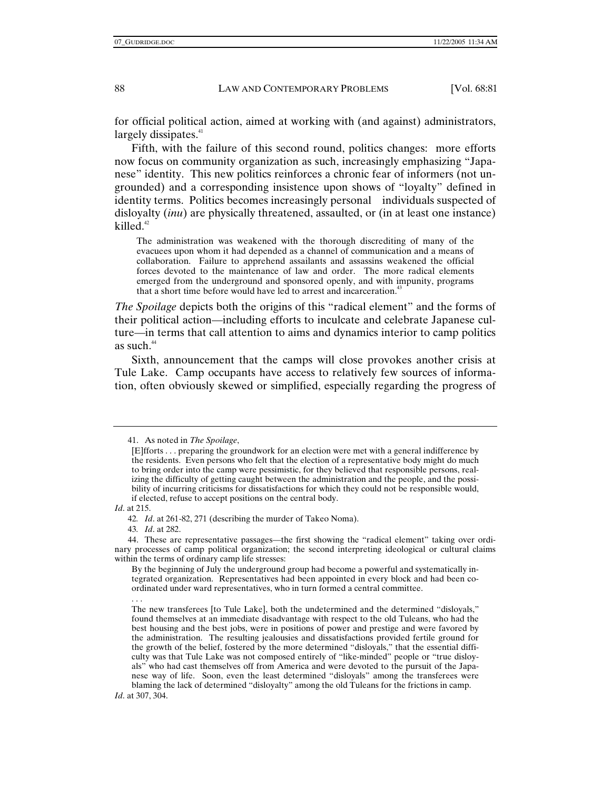for official political action, aimed at working with (and against) administrators, largely dissipates.<sup>41</sup>

Fifth, with the failure of this second round, politics changes: more efforts now focus on community organization as such, increasingly emphasizing "Japanese" identity. This new politics reinforces a chronic fear of informers (not ungrounded) and a corresponding insistence upon shows of "loyalty" defined in identity terms. Politics becomes increasingly personal individuals suspected of disloyalty (*inu*) are physically threatened, assaulted, or (in at least one instance) killed. $42$ 

The administration was weakened with the thorough discrediting of many of the evacuees upon whom it had depended as a channel of communication and a means of collaboration. Failure to apprehend assailants and assassins weakened the official forces devoted to the maintenance of law and order. The more radical elements emerged from the underground and sponsored openly, and with impunity, programs that a short time before would have led to arrest and incarceration.<sup>4</sup>

*The Spoilage* depicts both the origins of this "radical element" and the forms of their political action—including efforts to inculcate and celebrate Japanese culture—in terms that call attention to aims and dynamics interior to camp politics as such.<sup>44</sup>

Sixth, announcement that the camps will close provokes another crisis at Tule Lake. Camp occupants have access to relatively few sources of information, often obviously skewed or simplified, especially regarding the progress of

*Id*. at 215.

43*. Id*. at 282.

 <sup>41.</sup> As noted in *The Spoilage*,

<sup>[</sup>E]fforts . . . preparing the groundwork for an election were met with a general indifference by the residents. Even persons who felt that the election of a representative body might do much to bring order into the camp were pessimistic, for they believed that responsible persons, realizing the difficulty of getting caught between the administration and the people, and the possibility of incurring criticisms for dissatisfactions for which they could not be responsible would, if elected, refuse to accept positions on the central body.

<sup>42</sup>*. Id*. at 261-82, 271 (describing the murder of Takeo Noma).

 <sup>44.</sup> These are representative passages—the first showing the "radical element" taking over ordinary processes of camp political organization; the second interpreting ideological or cultural claims within the terms of ordinary camp life stresses:

By the beginning of July the underground group had become a powerful and systematically integrated organization. Representatives had been appointed in every block and had been coordinated under ward representatives, who in turn formed a central committee.

<sup>. . .</sup> 

The new transferees [to Tule Lake], both the undetermined and the determined "disloyals," found themselves at an immediate disadvantage with respect to the old Tuleans, who had the best housing and the best jobs, were in positions of power and prestige and were favored by the administration. The resulting jealousies and dissatisfactions provided fertile ground for the growth of the belief, fostered by the more determined "disloyals," that the essential difficulty was that Tule Lake was not composed entirely of "like-minded" people or "true disloyals" who had cast themselves off from America and were devoted to the pursuit of the Japanese way of life. Soon, even the least determined "disloyals" among the transferees were blaming the lack of determined "disloyalty" among the old Tuleans for the frictions in camp.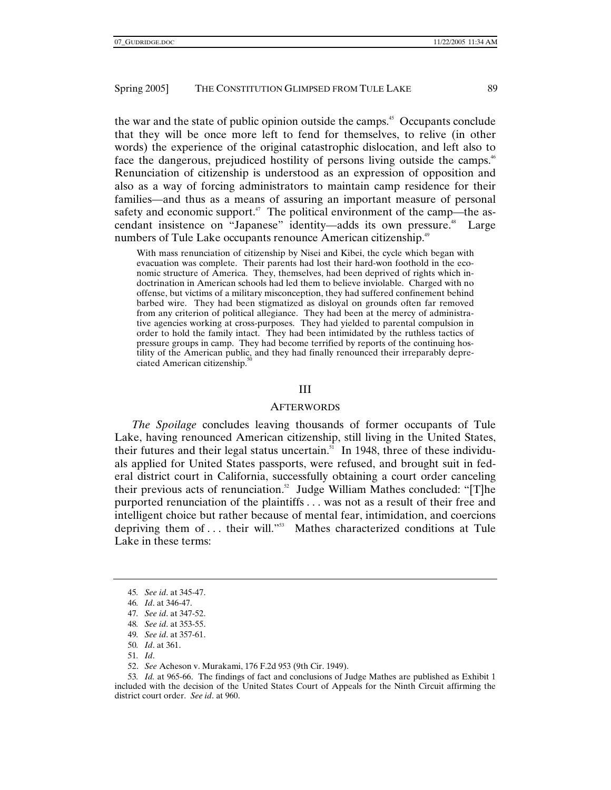the war and the state of public opinion outside the camps.<sup>45</sup> Occupants conclude that they will be once more left to fend for themselves, to relive (in other words) the experience of the original catastrophic dislocation, and left also to face the dangerous, prejudiced hostility of persons living outside the camps.<sup>46</sup> Renunciation of citizenship is understood as an expression of opposition and also as a way of forcing administrators to maintain camp residence for their families—and thus as a means of assuring an important measure of personal safety and economic support.<sup>47</sup> The political environment of the camp—the ascendant insistence on "Japanese" identity—adds its own pressure.<sup>48</sup> Large numbers of Tule Lake occupants renounce American citizenship.<sup>49</sup>

With mass renunciation of citizenship by Nisei and Kibei, the cycle which began with evacuation was complete. Their parents had lost their hard-won foothold in the economic structure of America. They, themselves, had been deprived of rights which indoctrination in American schools had led them to believe inviolable. Charged with no offense, but victims of a military misconception, they had suffered confinement behind barbed wire. They had been stigmatized as disloyal on grounds often far removed from any criterion of political allegiance. They had been at the mercy of administrative agencies working at cross-purposes. They had yielded to parental compulsion in order to hold the family intact. They had been intimidated by the ruthless tactics of pressure groups in camp. They had become terrified by reports of the continuing hostility of the American public, and they had finally renounced their irreparably depreciated American citizenship.<sup>5</sup>

## III

## **AFTERWORDS**

*The Spoilage* concludes leaving thousands of former occupants of Tule Lake, having renounced American citizenship, still living in the United States, their futures and their legal status uncertain.<sup> $51$ </sup> In 1948, three of these individuals applied for United States passports, were refused, and brought suit in federal district court in California, successfully obtaining a court order canceling their previous acts of renunciation.<sup>52</sup> Judge William Mathes concluded: "[T]he purported renunciation of the plaintiffs . . . was not as a result of their free and intelligent choice but rather because of mental fear, intimidation, and coercions depriving them of ... their will."<sup>53</sup> Mathes characterized conditions at Tule Lake in these terms:

51*. Id*.

52. *See* Acheson v. Murakami, 176 F.2d 953 (9th Cir. 1949).

53*. Id.* at 965-66. The findings of fact and conclusions of Judge Mathes are published as Exhibit 1 included with the decision of the United States Court of Appeals for the Ninth Circuit affirming the district court order. *See id*. at 960.

<sup>45</sup>*. See id*. at 345-47.

<sup>46</sup>*. Id*. at 346-47.

<sup>47</sup>*. See id*. at 347-52.

<sup>48</sup>*. See id*. at 353-55.

<sup>49</sup>*. See id*. at 357-61.

<sup>50</sup>*. Id*. at 361.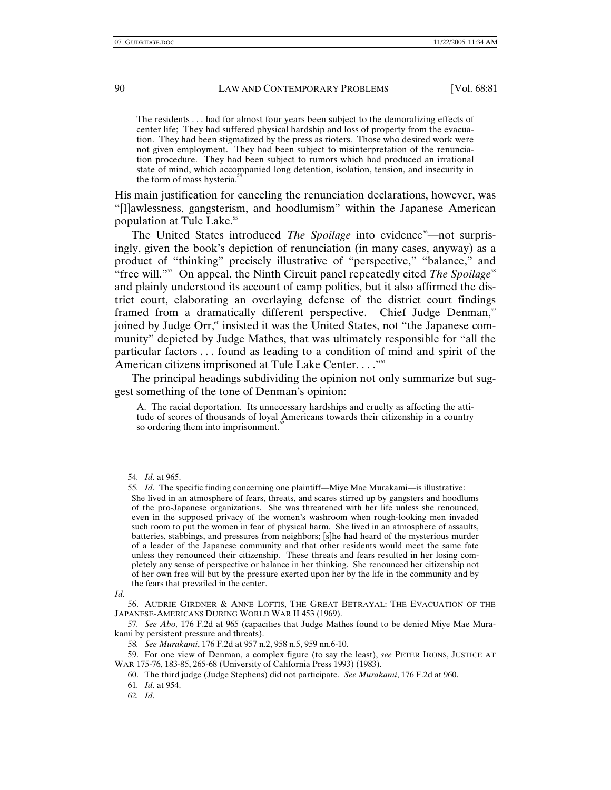The residents . . . had for almost four years been subject to the demoralizing effects of center life; They had suffered physical hardship and loss of property from the evacuation. They had been stigmatized by the press as rioters. Those who desired work were not given employment. They had been subject to misinterpretation of the renunciation procedure. They had been subject to rumors which had produced an irrational state of mind, which accompanied long detention, isolation, tension, and insecurity in the form of mass hysteria.<sup>34</sup>

His main justification for canceling the renunciation declarations, however, was "[l]awlessness, gangsterism, and hoodlumism" within the Japanese American population at Tule Lake.55

The United States introduced *The Spoilage* into evidence<sup>56</sup>—not surprisingly, given the book's depiction of renunciation (in many cases, anyway) as a product of "thinking" precisely illustrative of "perspective," "balance," and "free will."<sup>57</sup> On appeal, the Ninth Circuit panel repeatedly cited *The Spoilage*<sup>58</sup> and plainly understood its account of camp politics, but it also affirmed the district court, elaborating an overlaying defense of the district court findings framed from a dramatically different perspective. Chief Judge Denman,<sup>59</sup> joined by Judge Orr,<sup>60</sup> insisted it was the United States, not "the Japanese community" depicted by Judge Mathes, that was ultimately responsible for "all the particular factors . . . found as leading to a condition of mind and spirit of the American citizens imprisoned at Tule Lake Center...."<sup>61</sup>

The principal headings subdividing the opinion not only summarize but suggest something of the tone of Denman's opinion:

A. The racial deportation. Its unnecessary hardships and cruelty as affecting the attitude of scores of thousands of loyal Americans towards their citizenship in a country so ordering them into imprisonment.<sup>62</sup>

<sup>54</sup>*. Id*. at 965.

<sup>55</sup>*. Id*. The specific finding concerning one plaintiff—Miye Mae Murakami—is illustrative: She lived in an atmosphere of fears, threats, and scares stirred up by gangsters and hoodlums of the pro-Japanese organizations. She was threatened with her life unless she renounced, even in the supposed privacy of the women's washroom when rough-looking men invaded such room to put the women in fear of physical harm. She lived in an atmosphere of assaults, batteries, stabbings, and pressures from neighbors; [s]he had heard of the mysterious murder of a leader of the Japanese community and that other residents would meet the same fate unless they renounced their citizenship. These threats and fears resulted in her losing completely any sense of perspective or balance in her thinking. She renounced her citizenship not of her own free will but by the pressure exerted upon her by the life in the community and by the fears that prevailed in the center.

*Id*.

 <sup>56.</sup> AUDRIE GIRDNER & ANNE LOFTIS, THE GREAT BETRAYAL: THE EVACUATION OF THE JAPANESE-AMERICANS DURING WORLD WAR II 453 (1969).

<sup>57</sup>*. See Abo,* 176 F.2d at 965 (capacities that Judge Mathes found to be denied Miye Mae Murakami by persistent pressure and threats).

<sup>58</sup>*. See Murakami*, 176 F.2d at 957 n.2, 958 n.5, 959 nn.6-10.

 <sup>59.</sup> For one view of Denman, a complex figure (to say the least), *see* PETER IRONS, JUSTICE AT WAR 175-76, 183-85, 265-68 (University of California Press 1993) (1983).

 <sup>60.</sup> The third judge (Judge Stephens) did not participate. *See Murakami*, 176 F.2d at 960.

<sup>61</sup>*. Id*. at 954.

<sup>62</sup>*. Id*.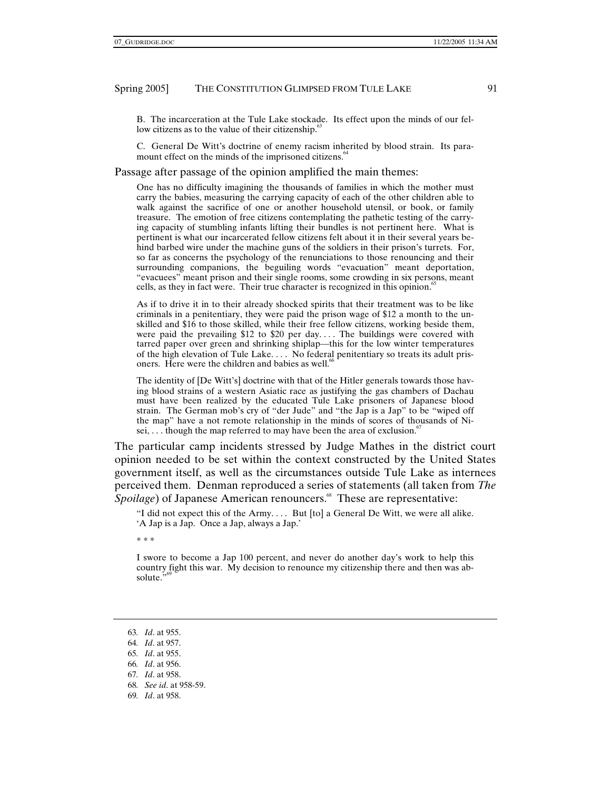B. The incarceration at the Tule Lake stockade. Its effect upon the minds of our fellow citizens as to the value of their citizenship. $63$ 

C. General De Witt's doctrine of enemy racism inherited by blood strain. Its paramount effect on the minds of the imprisoned citizens.<sup>64</sup>

## Passage after passage of the opinion amplified the main themes:

One has no difficulty imagining the thousands of families in which the mother must carry the babies, measuring the carrying capacity of each of the other children able to walk against the sacrifice of one or another household utensil, or book, or family treasure. The emotion of free citizens contemplating the pathetic testing of the carrying capacity of stumbling infants lifting their bundles is not pertinent here. What is pertinent is what our incarcerated fellow citizens felt about it in their several years behind barbed wire under the machine guns of the soldiers in their prison's turrets. For, so far as concerns the psychology of the renunciations to those renouncing and their surrounding companions, the beguiling words "evacuation" meant deportation, "evacuees" meant prison and their single rooms, some crowding in six persons, meant cells, as they in fact were. Their true character is recognized in this opinion.<sup>65</sup>

As if to drive it in to their already shocked spirits that their treatment was to be like criminals in a penitentiary, they were paid the prison wage of \$12 a month to the unskilled and \$16 to those skilled, while their free fellow citizens, working beside them, were paid the prevailing  $$12$  to  $$20$  per day.... The buildings were covered with tarred paper over green and shrinking shiplap—this for the low winter temperatures of the high elevation of Tule Lake. . . . No federal penitentiary so treats its adult prisoners. Here were the children and babies as well.<sup>6</sup>

The identity of [De Witt's] doctrine with that of the Hitler generals towards those having blood strains of a western Asiatic race as justifying the gas chambers of Dachau must have been realized by the educated Tule Lake prisoners of Japanese blood strain. The German mob's cry of "der Jude" and "the Jap is a Jap" to be "wiped off the map" have a not remote relationship in the minds of scores of thousands of Nisei,  $\dots$  though the map referred to may have been the area of exclusion.<sup> $\degree$ </sup>

The particular camp incidents stressed by Judge Mathes in the district court opinion needed to be set within the context constructed by the United States government itself, as well as the circumstances outside Tule Lake as internees perceived them. Denman reproduced a series of statements (all taken from *The Spoilage*) of Japanese American renouncers.<sup>68</sup> These are representative:

"I did not expect this of the Army. . . . But [to] a General De Witt, we were all alike. 'A Jap is a Jap. Once a Jap, always a Jap.'

\* \* \*

I swore to become a Jap 100 percent, and never do another day's work to help this country fight this war. My decision to renounce my citizenship there and then was absolute."

- 68*. See id*. at 958-59.
- 69*. Id*. at 958.

<sup>63</sup>*. Id*. at 955.

<sup>64</sup>*. Id*. at 957.

<sup>65</sup>*. Id*. at 955.

<sup>66</sup>*. Id*. at 956.

<sup>67</sup>*. Id*. at 958.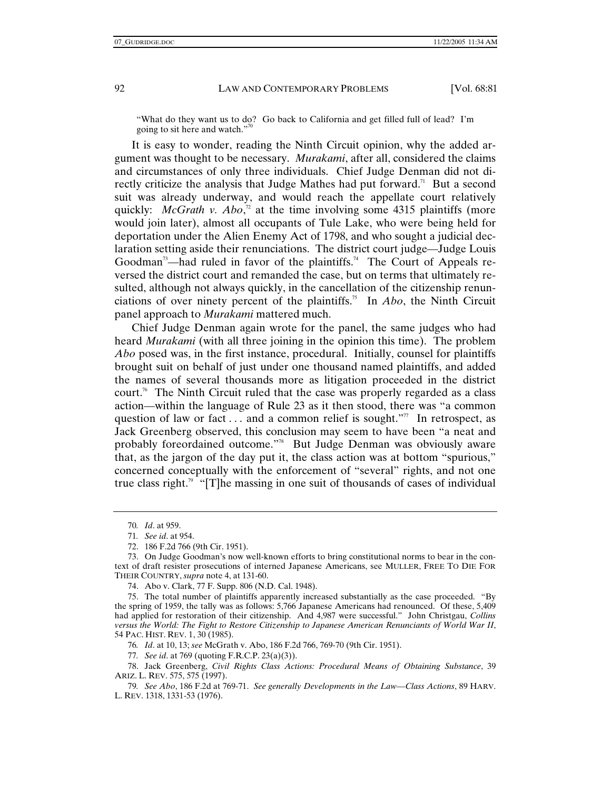"What do they want us to do? Go back to California and get filled full of lead? I'm going to sit here and watch."<sup>70</sup>

It is easy to wonder, reading the Ninth Circuit opinion, why the added argument was thought to be necessary. *Murakami*, after all, considered the claims and circumstances of only three individuals. Chief Judge Denman did not directly criticize the analysis that Judge Mathes had put forward.<sup>71</sup> But a second suit was already underway, and would reach the appellate court relatively quickly: *McGrath v. Abo*,<sup>2</sup> at the time involving some 4315 plaintiffs (more would join later), almost all occupants of Tule Lake, who were being held for deportation under the Alien Enemy Act of 1798, and who sought a judicial declaration setting aside their renunciations. The district court judge—Judge Louis Goodman<sup>73</sup>—had ruled in favor of the plaintiffs.<sup>74</sup> The Court of Appeals reversed the district court and remanded the case, but on terms that ultimately resulted, although not always quickly, in the cancellation of the citizenship renunciations of over ninety percent of the plaintiffs.75 In *Abo*, the Ninth Circuit panel approach to *Murakami* mattered much.

Chief Judge Denman again wrote for the panel, the same judges who had heard *Murakami* (with all three joining in the opinion this time). The problem *Abo* posed was, in the first instance, procedural. Initially, counsel for plaintiffs brought suit on behalf of just under one thousand named plaintiffs, and added the names of several thousands more as litigation proceeded in the district court.76 The Ninth Circuit ruled that the case was properly regarded as a class action—within the language of Rule 23 as it then stood, there was "a common question of law or fact  $\dots$  and a common relief is sought."<sup>77</sup> In retrospect, as Jack Greenberg observed, this conclusion may seem to have been "a neat and probably foreordained outcome."78 But Judge Denman was obviously aware that, as the jargon of the day put it, the class action was at bottom "spurious," concerned conceptually with the enforcement of "several" rights, and not one true class right.<sup>79</sup> "[T]he massing in one suit of thousands of cases of individual

<sup>70</sup>*. Id*. at 959.

<sup>71</sup>*. See id*. at 954.

 <sup>72. 186</sup> F.2d 766 (9th Cir. 1951).

 <sup>73.</sup> On Judge Goodman's now well-known efforts to bring constitutional norms to bear in the context of draft resister prosecutions of interned Japanese Americans, see MULLER, FREE TO DIE FOR THEIR COUNTRY, *supra* note 4, at 131-60.

 <sup>74.</sup> Abo v. Clark, 77 F. Supp. 806 (N.D. Cal. 1948).

 <sup>75.</sup> The total number of plaintiffs apparently increased substantially as the case proceeded. "By the spring of 1959, the tally was as follows: 5,766 Japanese Americans had renounced. Of these, 5,409 had applied for restoration of their citizenship. And 4,987 were successful." John Christgau, *Collins versus the World: The Fight to Restore Citizenship to Japanese American Renunciants of World War II*, 54 PAC. HIST. REV. 1, 30 (1985).

<sup>76</sup>*. Id*. at 10, 13; *see* McGrath v. Abo, 186 F.2d 766, 769-70 (9th Cir. 1951).

<sup>77</sup>*. See id*. at 769 (quoting F.R.C.P. 23(a)(3)).

 <sup>78.</sup> Jack Greenberg, *Civil Rights Class Actions: Procedural Means of Obtaining Substance*, 39 ARIZ. L. REV. 575, 575 (1997).

<sup>79</sup>*. See Abo*, 186 F.2d at 769-71. *See generally Developments in the Law—Class Actions*, 89 HARV. L. REV. 1318, 1331-53 (1976).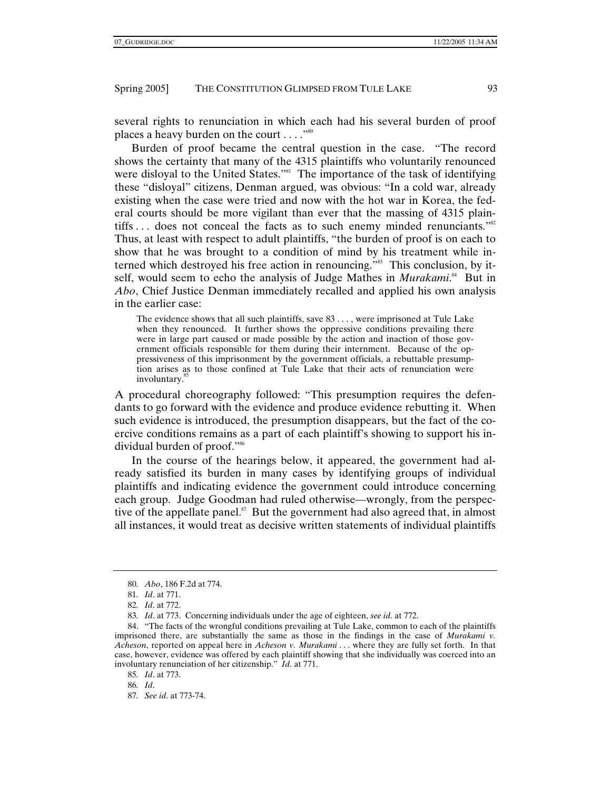several rights to renunciation in which each had his several burden of proof places a heavy burden on the court  $\dots$ ."<sup>80</sup>

Burden of proof became the central question in the case. "The record shows the certainty that many of the 4315 plaintiffs who voluntarily renounced were disloyal to the United States."<sup>81</sup> The importance of the task of identifying these "disloyal" citizens, Denman argued, was obvious: "In a cold war, already existing when the case were tried and now with the hot war in Korea, the federal courts should be more vigilant than ever that the massing of 4315 plaintiffs ... does not conceal the facts as to such enemy minded renunciants."<sup>82</sup> Thus, at least with respect to adult plaintiffs, "the burden of proof is on each to show that he was brought to a condition of mind by his treatment while interned which destroyed his free action in renouncing."<sup>83</sup> This conclusion, by itself, would seem to echo the analysis of Judge Mathes in *Murakami*.<sup>84</sup> But in *Abo*, Chief Justice Denman immediately recalled and applied his own analysis in the earlier case:

The evidence shows that all such plaintiffs, save 83 . . . , were imprisoned at Tule Lake when they renounced. It further shows the oppressive conditions prevailing there were in large part caused or made possible by the action and inaction of those government officials responsible for them during their internment. Because of the oppressiveness of this imprisonment by the government officials, a rebuttable presumption arises as to those confined at Tule Lake that their acts of renunciation were involuntary.<sup>85</sup>

A procedural choreography followed: "This presumption requires the defendants to go forward with the evidence and produce evidence rebutting it. When such evidence is introduced, the presumption disappears, but the fact of the coercive conditions remains as a part of each plaintiff's showing to support his individual burden of proof."86

In the course of the hearings below, it appeared, the government had already satisfied its burden in many cases by identifying groups of individual plaintiffs and indicating evidence the government could introduce concerning each group. Judge Goodman had ruled otherwise—wrongly, from the perspective of the appellate panel. $\mathbf{S}^7$  But the government had also agreed that, in almost all instances, it would treat as decisive written statements of individual plaintiffs

<sup>80</sup>*. Abo*, 186 F.2d at 774.

<sup>81</sup>*. Id*. at 771.

<sup>82</sup>*. Id*. at 772.

<sup>83</sup>*. Id*. at 773. Concerning individuals under the age of eighteen, *see id*. at 772.

 <sup>84. &</sup>quot;The facts of the wrongful conditions prevailing at Tule Lake, common to each of the plaintiffs imprisoned there, are substantially the same as those in the findings in the case of *Murakami v. Acheson*, reported on appeal here in *Acheson v. Murakami* . . . where they are fully set forth. In that case, however, evidence was offered by each plaintiff showing that she individually was coerced into an involuntary renunciation of her citizenship." *Id*. at 771.

<sup>85</sup>*. Id*. at 773.

<sup>86</sup>*. Id*.

<sup>87</sup>*. See id*. at 773-74.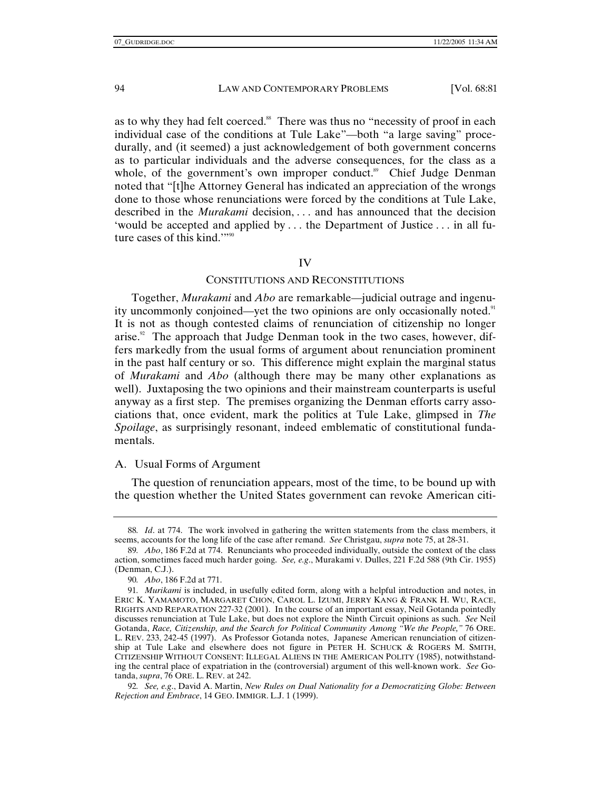as to why they had felt coerced.<sup>88</sup> There was thus no "necessity of proof in each individual case of the conditions at Tule Lake"—both "a large saving" procedurally, and (it seemed) a just acknowledgement of both government concerns as to particular individuals and the adverse consequences, for the class as a whole, of the government's own improper conduct.<sup>89</sup> Chief Judge Denman noted that "[t]he Attorney General has indicated an appreciation of the wrongs done to those whose renunciations were forced by the conditions at Tule Lake, described in the *Murakami* decision, . . . and has announced that the decision 'would be accepted and applied by . . . the Department of Justice . . . in all future cases of this kind.""<sup>90</sup>

## IV

## CONSTITUTIONS AND RECONSTITUTIONS

Together, *Murakami* and *Abo* are remarkable—judicial outrage and ingenuity uncommonly conjoined—yet the two opinions are only occasionally noted.<sup>91</sup> It is not as though contested claims of renunciation of citizenship no longer arise. $92$  The approach that Judge Denman took in the two cases, however, differs markedly from the usual forms of argument about renunciation prominent in the past half century or so. This difference might explain the marginal status of *Murakami* and *Abo* (although there may be many other explanations as well). Juxtaposing the two opinions and their mainstream counterparts is useful anyway as a first step. The premises organizing the Denman efforts carry associations that, once evident, mark the politics at Tule Lake, glimpsed in *The Spoilage*, as surprisingly resonant, indeed emblematic of constitutional fundamentals.

## A. Usual Forms of Argument

The question of renunciation appears, most of the time, to be bound up with the question whether the United States government can revoke American citi-

92*. See, e.g*., David A. Martin, *New Rules on Dual Nationality for a Democratizing Globe: Between Rejection and Embrace*, 14 GEO. IMMIGR. L.J. 1 (1999).

<sup>88</sup>*. Id*. at 774. The work involved in gathering the written statements from the class members, it seems, accounts for the long life of the case after remand. *See* Christgau, *supra* note 75, at 28-31.

<sup>89</sup>*. Abo*, 186 F.2d at 774. Renunciants who proceeded individually, outside the context of the class action, sometimes faced much harder going. *See, e.g*., Murakami v. Dulles, 221 F.2d 588 (9th Cir. 1955) (Denman, C.J.).

<sup>90</sup>*. Abo*, 186 F.2d at 771.

<sup>91</sup>*. Murikami* is included, in usefully edited form, along with a helpful introduction and notes, in ERIC K. YAMAMOTO, MARGARET CHON, CAROL L. IZUMI, JERRY KANG & FRANK H. WU, RACE, RIGHTS AND REPARATION 227-32 (2001). In the course of an important essay, Neil Gotanda pointedly discusses renunciation at Tule Lake, but does not explore the Ninth Circuit opinions as such. *See* Neil Gotanda, *Race, Citizenship, and the Search for Political Community Among "We the People,"* 76 ORE. L. REV. 233, 242-45 (1997). As Professor Gotanda notes, Japanese American renunciation of citizenship at Tule Lake and elsewhere does not figure in PETER H. SCHUCK & ROGERS M. SMITH, CITIZENSHIP WITHOUT CONSENT: ILLEGAL ALIENS IN THE AMERICAN POLITY (1985), notwithstanding the central place of expatriation in the (controversial) argument of this well-known work. *See* Gotanda, *supra*, 76 ORE. L. REV. at 242.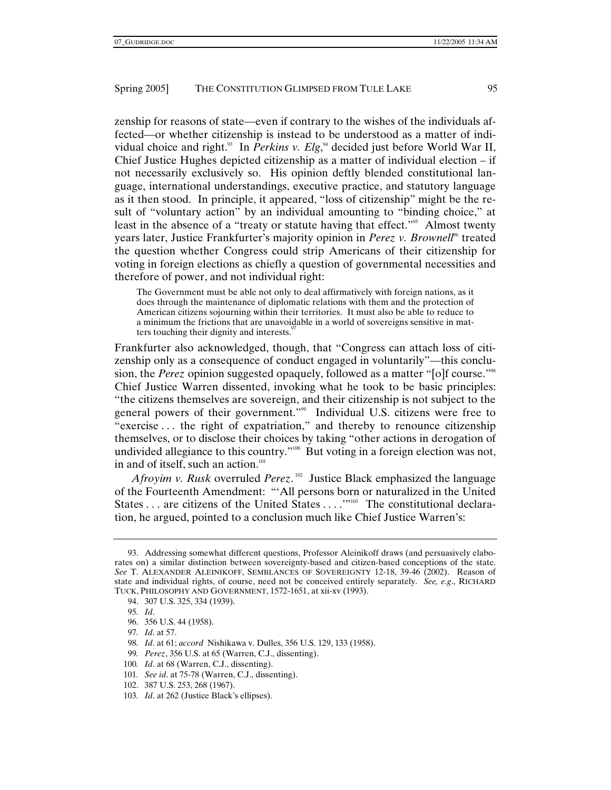zenship for reasons of state—even if contrary to the wishes of the individuals affected—or whether citizenship is instead to be understood as a matter of individual choice and right.<sup>93</sup> In *Perkins v. Elg*,<sup>94</sup> decided just before World War II, Chief Justice Hughes depicted citizenship as a matter of individual election – if not necessarily exclusively so. His opinion deftly blended constitutional language, international understandings, executive practice, and statutory language as it then stood. In principle, it appeared, "loss of citizenship" might be the result of "voluntary action" by an individual amounting to "binding choice," at least in the absence of a "treaty or statute having that effect."<sup>95</sup> Almost twenty years later, Justice Frankfurter's majority opinion in *Perez v. Brownell*<sup>66</sup> treated the question whether Congress could strip Americans of their citizenship for voting in foreign elections as chiefly a question of governmental necessities and therefore of power, and not individual right:

The Government must be able not only to deal affirmatively with foreign nations, as it does through the maintenance of diplomatic relations with them and the protection of American citizens sojourning within their territories. It must also be able to reduce to a minimum the frictions that are unavoidable in a world of sovereigns sensitive in matters touching their dignity and interests.<sup>9</sup>

Frankfurter also acknowledged, though, that "Congress can attach loss of citizenship only as a consequence of conduct engaged in voluntarily"—this conclusion, the *Perez* opinion suggested opaquely, followed as a matter "[o]f course."98 Chief Justice Warren dissented, invoking what he took to be basic principles: "the citizens themselves are sovereign, and their citizenship is not subject to the general powers of their government."<sup>99</sup> Individual U.S. citizens were free to "exercise . . . the right of expatriation," and thereby to renounce citizenship themselves, or to disclose their choices by taking "other actions in derogation of undivided allegiance to this country."<sup>100</sup> But voting in a foreign election was not, in and of itself, such an action. $101$ 

*Afroyim v. Rusk* overruled *Perez*. 102 Justice Black emphasized the language of the Fourteenth Amendment: "'All persons born or naturalized in the United States . . . are citizens of the United States . . . .<sup>'''103</sup> The constitutional declaration, he argued, pointed to a conclusion much like Chief Justice Warren's:

- 98*. Id*. at 61; *accord* Nishikawa v. Dulles, 356 U.S. 129, 133 (1958).
- 99*. Perez*, 356 U.S. at 65 (Warren, C.J., dissenting).
- 100*. Id*. at 68 (Warren, C.J., dissenting).

102. 387 U.S. 253, 268 (1967).

 <sup>93.</sup> Addressing somewhat different questions, Professor Aleinikoff draws (and persuasively elaborates on) a similar distinction between sovereignty-based and citizen-based conceptions of the state. *See* T. ALEXANDER ALEINIKOFF, SEMBLANCES OF SOVEREIGNTY 12-18, 39-46 (2002). Reason of state and individual rights, of course, need not be conceived entirely separately. *See, e.g*., RICHARD TUCK, PHILOSOPHY AND GOVERNMENT, 1572-1651, at xii-xv (1993).

 <sup>94. 307</sup> U.S. 325, 334 (1939).

<sup>95</sup>*. Id*.

 <sup>96. 356</sup> U.S. 44 (1958).

<sup>97</sup>*. Id*. at 57.

<sup>101</sup>*. See id*. at 75-78 (Warren, C.J., dissenting).

<sup>103</sup>*. Id*. at 262 (Justice Black's ellipses).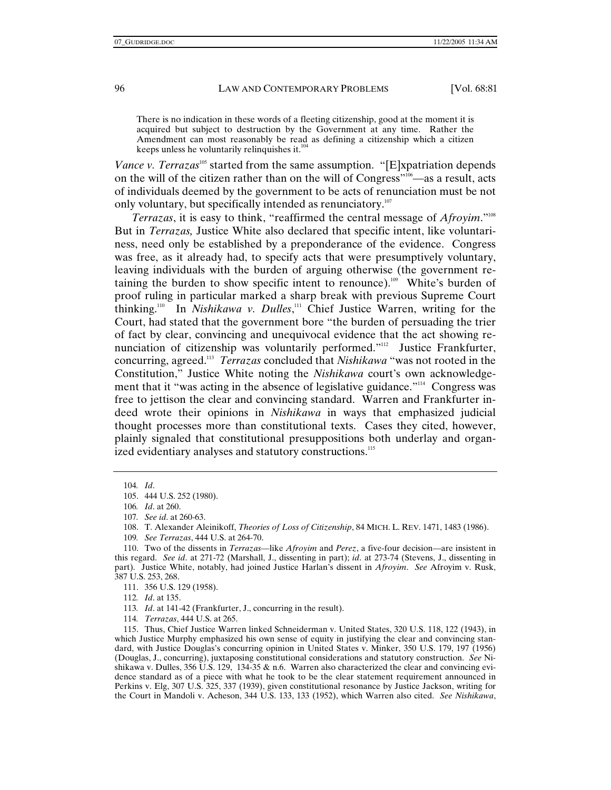There is no indication in these words of a fleeting citizenship, good at the moment it is acquired but subject to destruction by the Government at any time. Rather the Amendment can most reasonably be read as defining a citizenship which a citizen keeps unless he voluntarily relinquishes it.<sup>1</sup>

*Vance v. Terrazas*<sup>105</sup> started from the same assumption. "[E]xpatriation depends on the will of the citizen rather than on the will of Congress"106—as a result, acts of individuals deemed by the government to be acts of renunciation must be not only voluntary, but specifically intended as renunciatory.<sup>107</sup>

*Terrazas*, it is easy to think, "reaffirmed the central message of *Afroyim*."108 But in *Terrazas,* Justice White also declared that specific intent, like voluntariness, need only be established by a preponderance of the evidence. Congress was free, as it already had, to specify acts that were presumptively voluntary, leaving individuals with the burden of arguing otherwise (the government retaining the burden to show specific intent to renounce).<sup>109</sup> White's burden of proof ruling in particular marked a sharp break with previous Supreme Court thinking.110 In *Nishikawa v. Dulles*, 111 Chief Justice Warren, writing for the Court, had stated that the government bore "the burden of persuading the trier of fact by clear, convincing and unequivocal evidence that the act showing renunciation of citizenship was voluntarily performed."<sup>112</sup> Justice Frankfurter, concurring, agreed.113 *Terrazas* concluded that *Nishikawa* "was not rooted in the Constitution," Justice White noting the *Nishikawa* court's own acknowledgement that it "was acting in the absence of legislative guidance."<sup>114</sup> Congress was free to jettison the clear and convincing standard. Warren and Frankfurter indeed wrote their opinions in *Nishikawa* in ways that emphasized judicial thought processes more than constitutional texts. Cases they cited, however, plainly signaled that constitutional presuppositions both underlay and organized evidentiary analyses and statutory constructions.<sup>115</sup>

112*. Id*. at 135.

113*. Id*. at 141-42 (Frankfurter, J., concurring in the result).

114*. Terrazas*, 444 U.S. at 265.

 115. Thus, Chief Justice Warren linked Schneiderman v. United States, 320 U.S. 118, 122 (1943), in which Justice Murphy emphasized his own sense of equity in justifying the clear and convincing standard, with Justice Douglas's concurring opinion in United States v. Minker, 350 U.S. 179, 197 (1956) (Douglas, J., concurring), juxtaposing constitutional considerations and statutory construction. *See* Nishikawa v. Dulles, 356 U.S. 129, 134-35  $\&$  n.6. Warren also characterized the clear and convincing evidence standard as of a piece with what he took to be the clear statement requirement announced in Perkins v. Elg, 307 U.S. 325, 337 (1939), given constitutional resonance by Justice Jackson, writing for the Court in Mandoli v. Acheson, 344 U.S. 133, 133 (1952), which Warren also cited. *See Nishikawa*,

<sup>104</sup>*. Id*.

 <sup>105. 444</sup> U.S. 252 (1980).

<sup>106</sup>*. Id*. at 260.

<sup>107</sup>*. See id*. at 260-63.

 <sup>108.</sup> T. Alexander Aleinikoff, *Theories of Loss of Citizenship*, 84 MICH. L. REV. 1471, 1483 (1986).

<sup>109</sup>*. See Terrazas*, 444 U.S. at 264-70.

 <sup>110.</sup> Two of the dissents in *Terrazas*—like *Afroyim* and *Perez*, a five-four decision—are insistent in this regard. *See id*. at 271-72 (Marshall, J., dissenting in part); *id*. at 273-74 (Stevens, J., dissenting in part). Justice White, notably, had joined Justice Harlan's dissent in *Afroyim*. *See* Afroyim v. Rusk, 387 U.S. 253, 268.

 <sup>111. 356</sup> U.S. 129 (1958).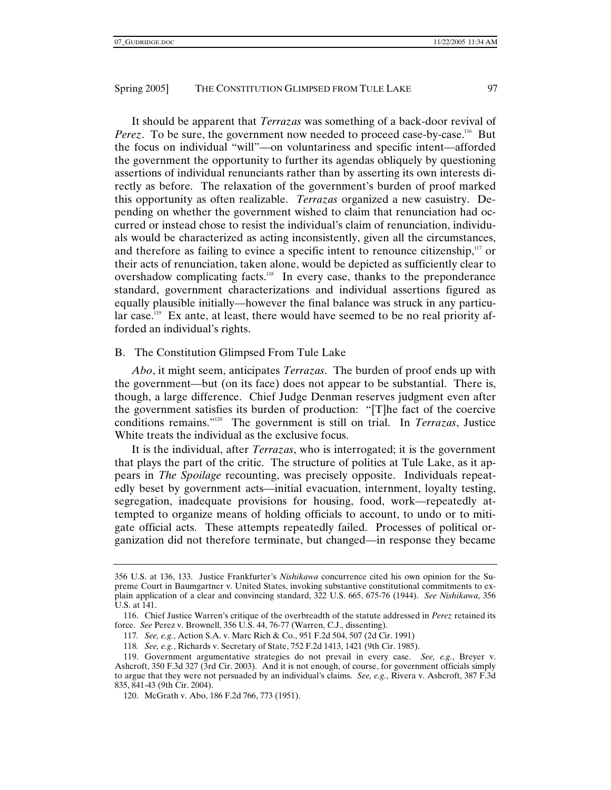It should be apparent that *Terrazas* was something of a back-door revival of *Perez*. To be sure, the government now needed to proceed case-by-case.<sup>116</sup> But the focus on individual "will"—on voluntariness and specific intent—afforded the government the opportunity to further its agendas obliquely by questioning assertions of individual renunciants rather than by asserting its own interests directly as before. The relaxation of the government's burden of proof marked this opportunity as often realizable. *Terrazas* organized a new casuistry. Depending on whether the government wished to claim that renunciation had occurred or instead chose to resist the individual's claim of renunciation, individuals would be characterized as acting inconsistently, given all the circumstances, and therefore as failing to evince a specific intent to renounce citizenship, $117$  or their acts of renunciation, taken alone, would be depicted as sufficiently clear to overshadow complicating facts.<sup>118</sup> In every case, thanks to the preponderance standard, government characterizations and individual assertions figured as equally plausible initially—however the final balance was struck in any particular case.<sup>119</sup> Ex ante, at least, there would have seemed to be no real priority afforded an individual's rights.

# B. The Constitution Glimpsed From Tule Lake

*Abo*, it might seem, anticipates *Terrazas*. The burden of proof ends up with the government—but (on its face) does not appear to be substantial. There is, though, a large difference. Chief Judge Denman reserves judgment even after the government satisfies its burden of production: "[T]he fact of the coercive conditions remains."120 The government is still on trial. In *Terrazas*, Justice White treats the individual as the exclusive focus.

It is the individual, after *Terrazas*, who is interrogated; it is the government that plays the part of the critic. The structure of politics at Tule Lake, as it appears in *The Spoilage* recounting, was precisely opposite. Individuals repeatedly beset by government acts—initial evacuation, internment, loyalty testing, segregation, inadequate provisions for housing, food, work—repeatedly attempted to organize means of holding officials to account, to undo or to mitigate official acts. These attempts repeatedly failed. Processes of political organization did not therefore terminate, but changed—in response they became

<sup>356</sup> U.S. at 136, 133. Justice Frankfurter's *Nishikawa* concurrence cited his own opinion for the Supreme Court in Baumgartner v. United States, invoking substantive constitutional commitments to explain application of a clear and convincing standard, 322 U.S. 665, 675-76 (1944). *See Nishikawa*, 356 U.S. at 141.

 <sup>116.</sup> Chief Justice Warren's critique of the overbreadth of the statute addressed in *Perez* retained its force. *See* Perez v. Brownell, 356 U.S. 44, 76-77 (Warren, C.J., dissenting).

<sup>117</sup>*. See, e.g.*, Action S.A. v. Marc Rich & Co., 951 F.2d 504, 507 (2d Cir. 1991)

<sup>118</sup>*. See, e.g.*, Richards v. Secretary of State, 752 F.2d 1413, 1421 (9th Cir. 1985).

 <sup>119.</sup> Government argumentative strategies do not prevail in every case. *See, e.g.*, Breyer v. Ashcroft, 350 F.3d 327 (3rd Cir. 2003). And it is not enough, of course, for government officials simply to argue that they were not persuaded by an individual's claims. *See, e.g.*, Rivera v. Ashcroft, 387 F.3d 835, 841-43 (9th Cir. 2004).

 <sup>120.</sup> McGrath v. Abo, 186 F.2d 766, 773 (1951).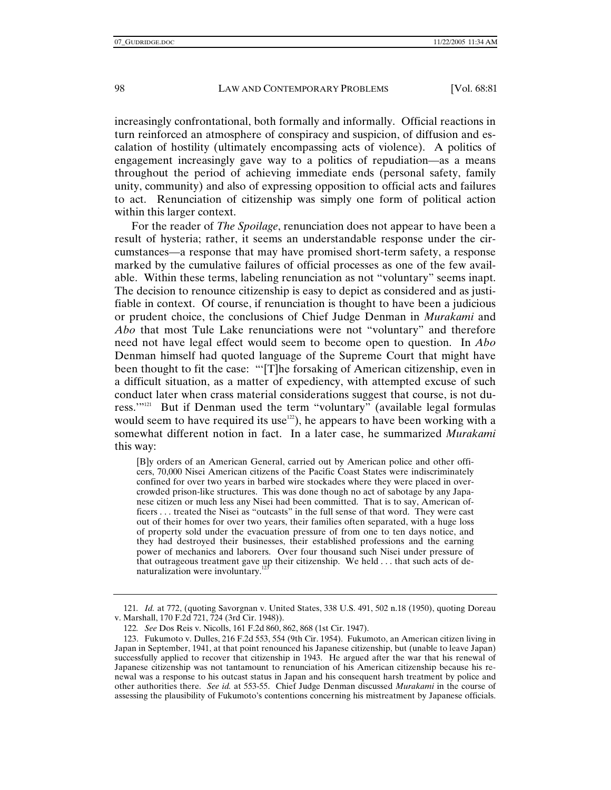increasingly confrontational, both formally and informally. Official reactions in turn reinforced an atmosphere of conspiracy and suspicion, of diffusion and escalation of hostility (ultimately encompassing acts of violence). A politics of engagement increasingly gave way to a politics of repudiation—as a means throughout the period of achieving immediate ends (personal safety, family unity, community) and also of expressing opposition to official acts and failures to act. Renunciation of citizenship was simply one form of political action within this larger context.

For the reader of *The Spoilage*, renunciation does not appear to have been a result of hysteria; rather, it seems an understandable response under the circumstances—a response that may have promised short-term safety, a response marked by the cumulative failures of official processes as one of the few available. Within these terms, labeling renunciation as not "voluntary" seems inapt. The decision to renounce citizenship is easy to depict as considered and as justifiable in context. Of course, if renunciation is thought to have been a judicious or prudent choice, the conclusions of Chief Judge Denman in *Murakami* and *Abo* that most Tule Lake renunciations were not "voluntary" and therefore need not have legal effect would seem to become open to question. In *Abo* Denman himself had quoted language of the Supreme Court that might have been thought to fit the case: "'[T]he forsaking of American citizenship, even in a difficult situation, as a matter of expediency, with attempted excuse of such conduct later when crass material considerations suggest that course, is not duress.'"121 But if Denman used the term "voluntary" (available legal formulas would seem to have required its use<sup>122</sup>), he appears to have been working with a somewhat different notion in fact. In a later case, he summarized *Murakami* this way:

[B]y orders of an American General, carried out by American police and other officers, 70,000 Nisei American citizens of the Pacific Coast States were indiscriminately confined for over two years in barbed wire stockades where they were placed in overcrowded prison-like structures. This was done though no act of sabotage by any Japanese citizen or much less any Nisei had been committed. That is to say, American officers . . . treated the Nisei as "outcasts" in the full sense of that word. They were cast out of their homes for over two years, their families often separated, with a huge loss of property sold under the evacuation pressure of from one to ten days notice, and they had destroyed their businesses, their established professions and the earning power of mechanics and laborers. Over four thousand such Nisei under pressure of that outrageous treatment gave up their citizenship. We held . . . that such acts of denaturalization were involuntary.<sup>1</sup>

<sup>121</sup>*. Id.* at 772, (quoting Savorgnan v. United States, 338 U.S. 491, 502 n.18 (1950), quoting Doreau v. Marshall, 170 F.2d 721, 724 (3rd Cir. 1948)).

<sup>122</sup>*. See* Dos Reis v. Nicolls, 161 F.2d 860, 862, 868 (1st Cir. 1947).

 <sup>123.</sup> Fukumoto v. Dulles, 216 F.2d 553, 554 (9th Cir. 1954). Fukumoto, an American citizen living in Japan in September, 1941, at that point renounced his Japanese citizenship, but (unable to leave Japan) successfully applied to recover that citizenship in 1943. He argued after the war that his renewal of Japanese citizenship was not tantamount to renunciation of his American citizenship because his renewal was a response to his outcast status in Japan and his consequent harsh treatment by police and other authorities there. *See id.* at 553-55. Chief Judge Denman discussed *Murakami* in the course of assessing the plausibility of Fukumoto's contentions concerning his mistreatment by Japanese officials.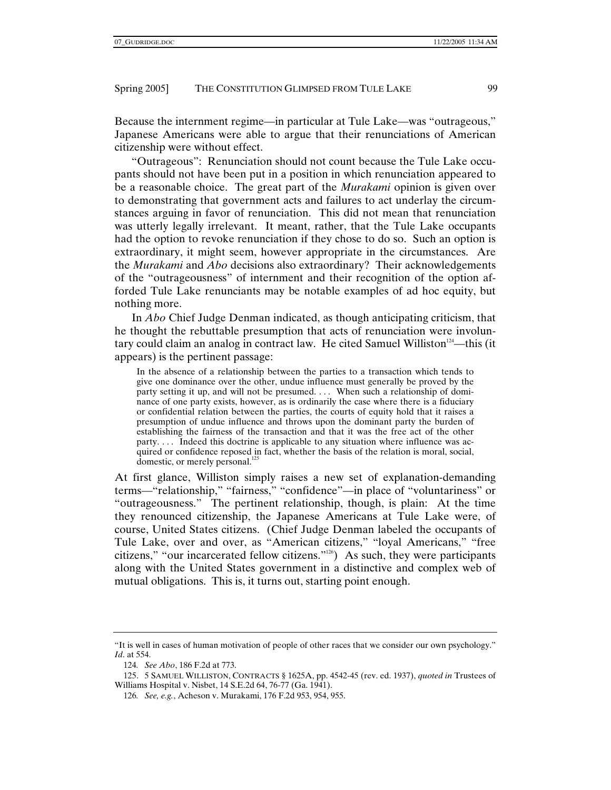Because the internment regime—in particular at Tule Lake—was "outrageous," Japanese Americans were able to argue that their renunciations of American citizenship were without effect.

"Outrageous": Renunciation should not count because the Tule Lake occupants should not have been put in a position in which renunciation appeared to be a reasonable choice. The great part of the *Murakami* opinion is given over to demonstrating that government acts and failures to act underlay the circumstances arguing in favor of renunciation. This did not mean that renunciation was utterly legally irrelevant. It meant, rather, that the Tule Lake occupants had the option to revoke renunciation if they chose to do so. Such an option is extraordinary, it might seem, however appropriate in the circumstances. Are the *Murakami* and *Abo* decisions also extraordinary? Their acknowledgements of the "outrageousness" of internment and their recognition of the option afforded Tule Lake renunciants may be notable examples of ad hoc equity, but nothing more.

In *Abo* Chief Judge Denman indicated, as though anticipating criticism, that he thought the rebuttable presumption that acts of renunciation were involuntary could claim an analog in contract law. He cited Samuel Williston<sup>124</sup>—this (it appears) is the pertinent passage:

In the absence of a relationship between the parties to a transaction which tends to give one dominance over the other, undue influence must generally be proved by the party setting it up, and will not be presumed. . . . When such a relationship of dominance of one party exists, however, as is ordinarily the case where there is a fiduciary or confidential relation between the parties, the courts of equity hold that it raises a presumption of undue influence and throws upon the dominant party the burden of establishing the fairness of the transaction and that it was the free act of the other party. . . . Indeed this doctrine is applicable to any situation where influence was acquired or confidence reposed in fact, whether the basis of the relation is moral, social, domestic, or merely personal. $^{125}$ 

At first glance, Williston simply raises a new set of explanation-demanding terms—"relationship," "fairness," "confidence"—in place of "voluntariness" or "outrageousness." The pertinent relationship, though, is plain: At the time they renounced citizenship, the Japanese Americans at Tule Lake were, of course, United States citizens. (Chief Judge Denman labeled the occupants of Tule Lake, over and over, as "American citizens," "loyal Americans," "free citizens," "our incarcerated fellow citizens."126) As such, they were participants along with the United States government in a distinctive and complex web of mutual obligations. This is, it turns out, starting point enough.

<sup>&</sup>quot;It is well in cases of human motivation of people of other races that we consider our own psychology." *Id*. at 554.

<sup>124</sup>*. See Abo*, 186 F.2d at 773.

 <sup>125. 5</sup> SAMUEL WILLISTON, CONTRACTS § 1625A, pp. 4542-45 (rev. ed. 1937), *quoted in* Trustees of Williams Hospital v. Nisbet, 14 S.E.2d 64, 76-77 (Ga. 1941).

<sup>126</sup>*. See, e.g.*, Acheson v. Murakami, 176 F.2d 953, 954, 955.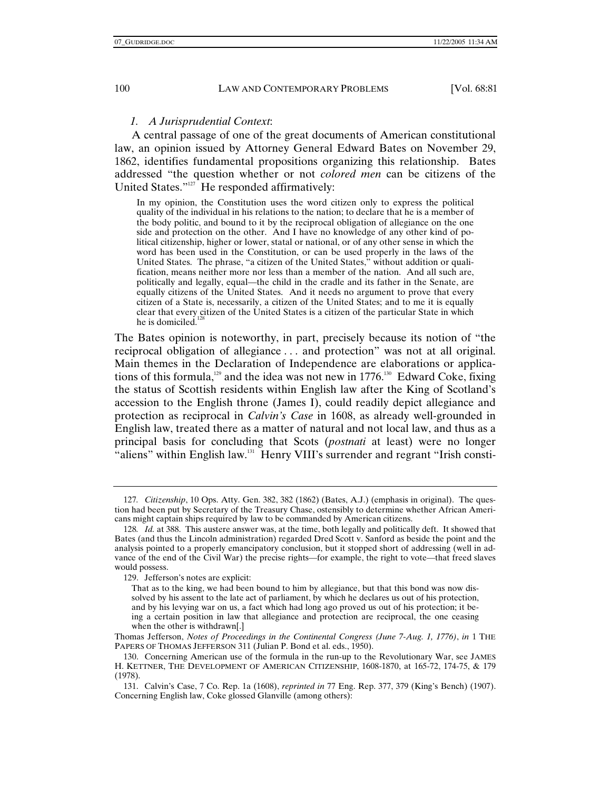## *1. A Jurisprudential Context*:

A central passage of one of the great documents of American constitutional law, an opinion issued by Attorney General Edward Bates on November 29, 1862, identifies fundamental propositions organizing this relationship. Bates addressed "the question whether or not *colored men* can be citizens of the United States."<sup>127</sup> He responded affirmatively:

In my opinion, the Constitution uses the word citizen only to express the political quality of the individual in his relations to the nation; to declare that he is a member of the body politic, and bound to it by the reciprocal obligation of allegiance on the one side and protection on the other. And I have no knowledge of any other kind of political citizenship, higher or lower, statal or national, or of any other sense in which the word has been used in the Constitution, or can be used properly in the laws of the United States. The phrase, "a citizen of the United States," without addition or qualification, means neither more nor less than a member of the nation. And all such are, politically and legally, equal—the child in the cradle and its father in the Senate, are equally citizens of the United States. And it needs no argument to prove that every citizen of a State is, necessarily, a citizen of the United States; and to me it is equally clear that every citizen of the United States is a citizen of the particular State in which he is domiciled.<sup>1</sup>

The Bates opinion is noteworthy, in part, precisely because its notion of "the reciprocal obligation of allegiance . . . and protection" was not at all original. Main themes in the Declaration of Independence are elaborations or applications of this formula, $129$  and the idea was not new in 1776.<sup>130</sup> Edward Coke, fixing the status of Scottish residents within English law after the King of Scotland's accession to the English throne (James I), could readily depict allegiance and protection as reciprocal in *Calvin's Case* in 1608, as already well-grounded in English law, treated there as a matter of natural and not local law, and thus as a principal basis for concluding that Scots (*postnati* at least) were no longer "aliens" within English law.<sup>131</sup> Henry VIII's surrender and regrant "Irish consti-

<sup>127</sup>*. Citizenship*, 10 Ops. Atty. Gen. 382, 382 (1862) (Bates, A.J.) (emphasis in original). The question had been put by Secretary of the Treasury Chase, ostensibly to determine whether African Americans might captain ships required by law to be commanded by American citizens.

<sup>128</sup>*. Id.* at 388. This austere answer was, at the time, both legally and politically deft. It showed that Bates (and thus the Lincoln administration) regarded Dred Scott v. Sanford as beside the point and the analysis pointed to a properly emancipatory conclusion, but it stopped short of addressing (well in advance of the end of the Civil War) the precise rights—for example, the right to vote—that freed slaves would possess.

 <sup>129.</sup> Jefferson's notes are explicit:

That as to the king, we had been bound to him by allegiance, but that this bond was now dissolved by his assent to the late act of parliament, by which he declares us out of his protection, and by his levying war on us, a fact which had long ago proved us out of his protection; it being a certain position in law that allegiance and protection are reciprocal, the one ceasing when the other is withdrawn[.]

Thomas Jefferson, *Notes of Proceedings in the Continental Congress (June 7-Aug. 1, 1776)*, *in* 1 THE PAPERS OF THOMAS JEFFERSON 311 (Julian P. Bond et al. eds., 1950).

 <sup>130.</sup> Concerning American use of the formula in the run-up to the Revolutionary War, see JAMES H. KETTNER, THE DEVELOPMENT OF AMERICAN CITIZENSHIP, 1608-1870, at 165-72, 174-75, & 179 (1978).

 <sup>131.</sup> Calvin's Case, 7 Co. Rep. 1a (1608), *reprinted in* 77 Eng. Rep. 377, 379 (King's Bench) (1907). Concerning English law, Coke glossed Glanville (among others):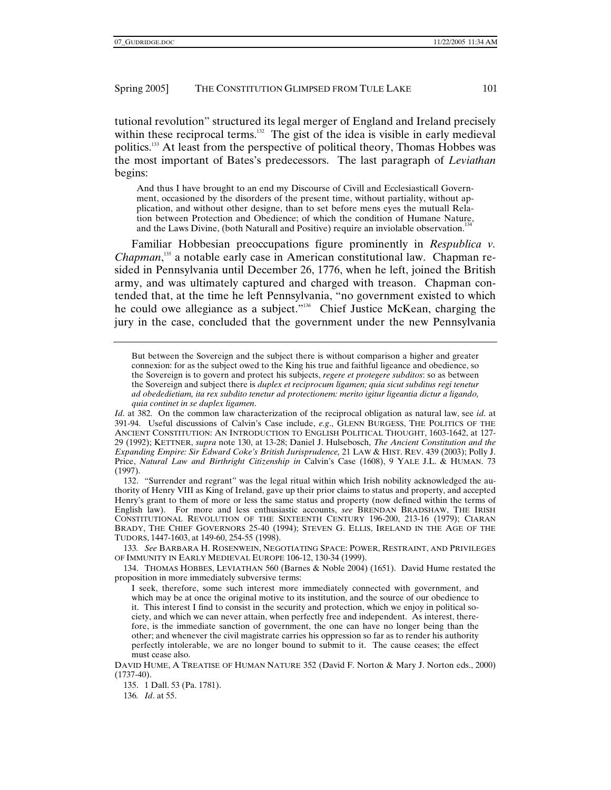tutional revolution" structured its legal merger of England and Ireland precisely within these reciprocal terms.<sup>132</sup> The gist of the idea is visible in early medieval politics.133 At least from the perspective of political theory, Thomas Hobbes was the most important of Bates's predecessors. The last paragraph of *Leviathan* begins:

And thus I have brought to an end my Discourse of Civill and Ecclesiasticall Government, occasioned by the disorders of the present time, without partiality, without application, and without other designe, than to set before mens eyes the mutuall Relation between Protection and Obedience; of which the condition of Humane Nature, and the Laws Divine, (both Naturall and Positive) require an inviolable observation.<sup>134</sup>

 Familiar Hobbesian preoccupations figure prominently in *Respublica v. Chapman*, 135 a notable early case in American constitutional law. Chapman resided in Pennsylvania until December 26, 1776, when he left, joined the British army, and was ultimately captured and charged with treason. Chapman contended that, at the time he left Pennsylvania, "no government existed to which he could owe allegiance as a subject."<sup>136</sup> Chief Justice McKean, charging the jury in the case, concluded that the government under the new Pennsylvania

But between the Sovereign and the subject there is without comparison a higher and greater connexion: for as the subject owed to the King his true and faithful ligeance and obedience, so the Sovereign is to govern and protect his subjects, *regere et protegere subditos*: so as between the Sovereign and subject there is *duplex et reciprocum ligamen; quia sicut subditus regi tenetur ad obededietiam, ita rex subdito tenetur ad protectionem: merito igitur ligeantia dictur a ligando, quia continet in se duplex ligamen*.

*Id*. at 382. On the common law characterization of the reciprocal obligation as natural law, see *id*. at 391-94. Useful discussions of Calvin's Case include, *e.g*., GLENN BURGESS, THE POLITICS OF THE ANCIENT CONSTITUTION: AN INTRODUCTION TO ENGLISH POLITICAL THOUGHT, 1603-1642, at 127- 29 (1992); KETTNER, *supra* note 130, at 13-28; Daniel J. Hulsebosch, *The Ancient Constitution and the Expanding Empire: Sir Edward Coke's British Jurisprudence,* 21 LAW & HIST. REV. 439 (2003); Polly J. Price, *Natural Law and Birthright Citizenship in* Calvin's Case (1608), 9 YALE J.L. & HUMAN. 73 (1997).

 132. "Surrender and regrant" was the legal ritual within which Irish nobility acknowledged the authority of Henry VIII as King of Ireland, gave up their prior claims to status and property, and accepted Henry's grant to them of more or less the same status and property (now defined within the terms of English law). For more and less enthusiastic accounts, *see* BRENDAN BRADSHAW, THE IRISH CONSTITUTIONAL REVOLUTION OF THE SIXTEENTH CENTURY 196-200, 213-16 (1979); CIARAN BRADY, THE CHIEF GOVERNORS 25-40 (1994); STEVEN G. ELLIS, IRELAND IN THE AGE OF THE TUDORS, 1447-1603, at 149-60, 254-55 (1998).

133*. See* BARBARA H. ROSENWEIN, NEGOTIATING SPACE: POWER, RESTRAINT, AND PRIVILEGES OF IMMUNITY IN EARLY MEDIEVAL EUROPE 106-12, 130-34 (1999).

 134. THOMAS HOBBES, LEVIATHAN 560 (Barnes & Noble 2004) (1651). David Hume restated the proposition in more immediately subversive terms:

I seek, therefore, some such interest more immediately connected with government, and which may be at once the original motive to its institution, and the source of our obedience to it. This interest I find to consist in the security and protection, which we enjoy in political society, and which we can never attain, when perfectly free and independent. As interest, therefore, is the immediate sanction of government, the one can have no longer being than the other; and whenever the civil magistrate carries his oppression so far as to render his authority perfectly intolerable, we are no longer bound to submit to it. The cause ceases; the effect must cease also.

135. 1 Dall. 53 (Pa. 1781).

136*. Id*. at 55.

DAVID HUME, A TREATISE OF HUMAN NATURE 352 (David F. Norton & Mary J. Norton eds., 2000)  $(1737-40).$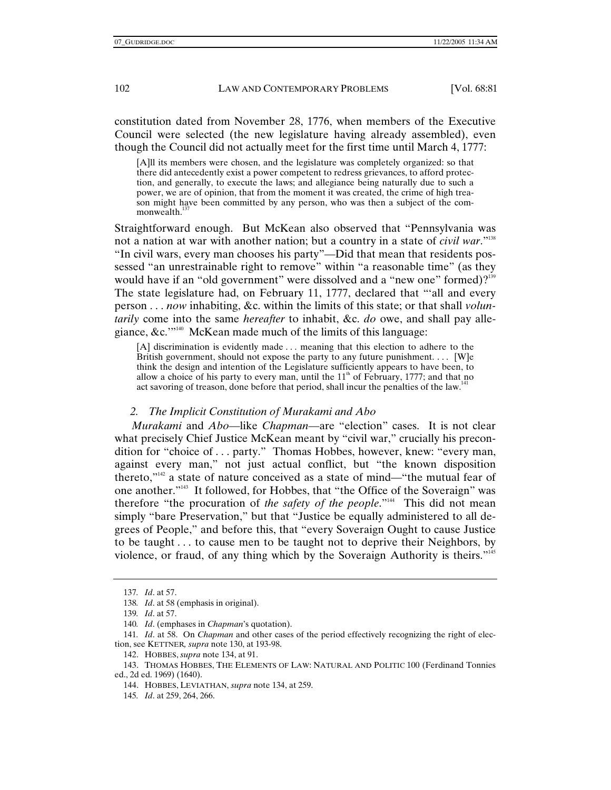constitution dated from November 28, 1776, when members of the Executive Council were selected (the new legislature having already assembled), even though the Council did not actually meet for the first time until March 4, 1777:

[A]ll its members were chosen, and the legislature was completely organized: so that there did antecedently exist a power competent to redress grievances, to afford protection, and generally, to execute the laws; and allegiance being naturally due to such a power, we are of opinion, that from the moment it was created, the crime of high treason might have been committed by any person, who was then a subject of the commonwealth. $1$ 

Straightforward enough. But McKean also observed that "Pennsylvania was not a nation at war with another nation; but a country in a state of *civil war*."138 "In civil wars, every man chooses his party"—Did that mean that residents possessed "an unrestrainable right to remove" within "a reasonable time" (as they would have if an "old government" were dissolved and a "new one" formed)?<sup>139</sup> The state legislature had, on February 11, 1777, declared that "'all and every person . . . *now* inhabiting, &c. within the limits of this state; or that shall *voluntarily* come into the same *hereafter* to inhabit, &c. *do* owe, and shall pay allegiance, &c.'"140 McKean made much of the limits of this language:

[A] discrimination is evidently made . . . meaning that this election to adhere to the British government, should not expose the party to any future punishment.  $\dots$  [W]e think the design and intention of the Legislature sufficiently appears to have been, to allow a choice of his party to every man, until the  $11<sup>th</sup>$  of February, 1777; and that no act savoring of treason, done before that period, shall incur the penalties of the law.<sup>141</sup>

## *2. The Implicit Constitution of Murakami and Abo*

*Murakami* and *Abo*—like *Chapman*—are "election" cases. It is not clear what precisely Chief Justice McKean meant by "civil war," crucially his precondition for "choice of . . . party." Thomas Hobbes, however, knew: "every man, against every man," not just actual conflict, but "the known disposition thereto,"142 a state of nature conceived as a state of mind—"the mutual fear of one another."143 It followed, for Hobbes, that "the Office of the Soveraign" was therefore "the procuration of *the safety of the people*."<sup>144</sup> This did not mean simply "bare Preservation," but that "Justice be equally administered to all degrees of People," and before this, that "every Soveraign Ought to cause Justice to be taught . . . to cause men to be taught not to deprive their Neighbors, by violence, or fraud, of any thing which by the Soveraign Authority is theirs."<sup>145</sup>

<sup>137</sup>*. Id*. at 57.

<sup>138</sup>*. Id*. at 58 (emphasis in original).

<sup>139</sup>*. Id*. at 57.

<sup>140</sup>*. Id*. (emphases in *Chapman*'s quotation).

<sup>141</sup>*. Id*. at 58. On *Chapman* and other cases of the period effectively recognizing the right of election, see KETTNER*, supra* note 130, at 193-98.

 <sup>142.</sup> HOBBES, *supra* note 134, at 91.

 <sup>143.</sup> THOMAS HOBBES, THE ELEMENTS OF LAW: NATURAL AND POLITIC 100 (Ferdinand Tonnies ed., 2d ed. 1969) (1640).

 <sup>144.</sup> HOBBES, LEVIATHAN, *supra* note 134, at 259.

<sup>145</sup>*. Id*. at 259, 264, 266.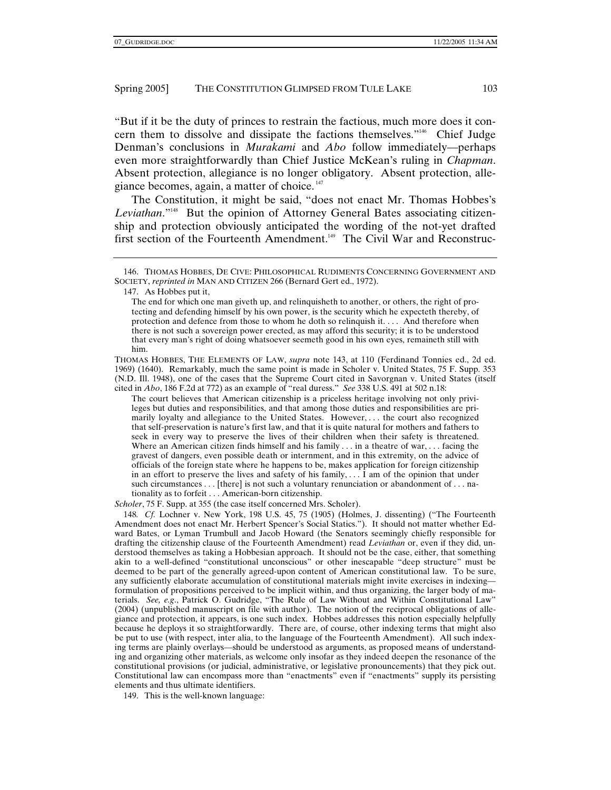"But if it be the duty of princes to restrain the factious, much more does it concern them to dissolve and dissipate the factions themselves."146 Chief Judge Denman's conclusions in *Murakami* and *Abo* follow immediately—perhaps even more straightforwardly than Chief Justice McKean's ruling in *Chapman*. Absent protection, allegiance is no longer obligatory. Absent protection, allegiance becomes, again, a matter of choice. <sup>147</sup>

The Constitution, it might be said, "does not enact Mr. Thomas Hobbes's *Leviathan*."148 But the opinion of Attorney General Bates associating citizenship and protection obviously anticipated the wording of the not-yet drafted first section of the Fourteenth Amendment.<sup>149</sup> The Civil War and Reconstruc-

147. As Hobbes put it,

The end for which one man giveth up, and relinquisheth to another, or others, the right of protecting and defending himself by his own power, is the security which he expecteth thereby, of protection and defence from those to whom he doth so relinquish it. . . . And therefore when there is not such a sovereign power erected, as may afford this security; it is to be understood that every man's right of doing whatsoever seemeth good in his own eyes, remaineth still with him.

THOMAS HOBBES, THE ELEMENTS OF LAW, *supra* note 143, at 110 (Ferdinand Tonnies ed., 2d ed. 1969) (1640). Remarkably, much the same point is made in Scholer v. United States, 75 F. Supp. 353 (N.D. Ill. 1948), one of the cases that the Supreme Court cited in Savorgnan v. United States (itself cited in *Abo*, 186 F.2d at 772) as an example of "real duress." *See* 338 U.S. 491 at 502 n.18:

The court believes that American citizenship is a priceless heritage involving not only privileges but duties and responsibilities, and that among those duties and responsibilities are primarily loyalty and allegiance to the United States. However, . . . the court also recognized that self-preservation is nature's first law, and that it is quite natural for mothers and fathers to seek in every way to preserve the lives of their children when their safety is threatened. Where an American citizen finds himself and his family  $\dots$  in a theatre of war,  $\dots$  facing the gravest of dangers, even possible death or internment, and in this extremity, on the advice of officials of the foreign state where he happens to be, makes application for foreign citizenship in an effort to preserve the lives and safety of his family,  $\dots$  I am of the opinion that under such circumstances . . . [there] is not such a voluntary renunciation or abandonment of . . . nationality as to forfeit . . . American-born citizenship.

*Scholer*, 75 F. Supp. at 355 (the case itself concerned Mrs. Scholer).

148*. Cf.* Lochner v. New York, 198 U.S. 45, 75 (1905) (Holmes, J. dissenting) ("The Fourteenth Amendment does not enact Mr. Herbert Spencer's Social Statics."). It should not matter whether Edward Bates, or Lyman Trumbull and Jacob Howard (the Senators seemingly chiefly responsible for drafting the citizenship clause of the Fourteenth Amendment) read *Leviathan* or, even if they did, understood themselves as taking a Hobbesian approach. It should not be the case, either, that something akin to a well-defined "constitutional unconscious" or other inescapable "deep structure" must be deemed to be part of the generally agreed-upon content of American constitutional law. To be sure, any sufficiently elaborate accumulation of constitutional materials might invite exercises in indexing formulation of propositions perceived to be implicit within, and thus organizing, the larger body of materials. *See, e.g*., Patrick O. Gudridge, "The Rule of Law Without and Within Constitutional Law" (2004) (unpublished manuscript on file with author). The notion of the reciprocal obligations of allegiance and protection, it appears, is one such index. Hobbes addresses this notion especially helpfully because he deploys it so straightforwardly. There are, of course, other indexing terms that might also be put to use (with respect, inter alia, to the language of the Fourteenth Amendment). All such indexing terms are plainly overlays—should be understood as arguments, as proposed means of understanding and organizing other materials, as welcome only insofar as they indeed deepen the resonance of the constitutional provisions (or judicial, administrative, or legislative pronouncements) that they pick out. Constitutional law can encompass more than "enactments" even if "enactments" supply its persisting elements and thus ultimate identifiers.

149. This is the well-known language:

 <sup>146.</sup> THOMAS HOBBES, DE CIVE: PHILOSOPHICAL RUDIMENTS CONCERNING GOVERNMENT AND SOCIETY, *reprinted in* MAN AND CITIZEN 266 (Bernard Gert ed., 1972).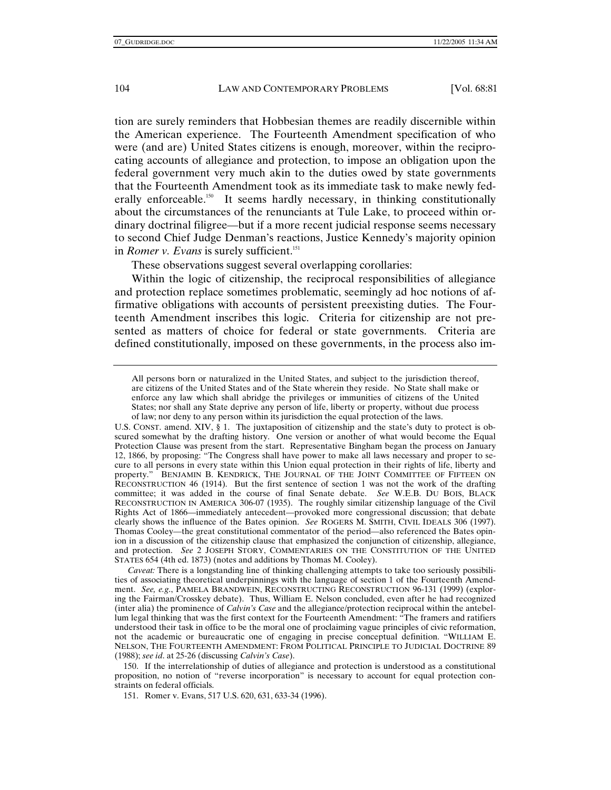tion are surely reminders that Hobbesian themes are readily discernible within the American experience. The Fourteenth Amendment specification of who were (and are) United States citizens is enough, moreover, within the reciprocating accounts of allegiance and protection, to impose an obligation upon the federal government very much akin to the duties owed by state governments that the Fourteenth Amendment took as its immediate task to make newly federally enforceable.<sup>150</sup> It seems hardly necessary, in thinking constitutionally about the circumstances of the renunciants at Tule Lake, to proceed within ordinary doctrinal filigree—but if a more recent judicial response seems necessary to second Chief Judge Denman's reactions, Justice Kennedy's majority opinion in *Romer v. Evans* is surely sufficient.<sup>151</sup>

These observations suggest several overlapping corollaries:

Within the logic of citizenship, the reciprocal responsibilities of allegiance and protection replace sometimes problematic, seemingly ad hoc notions of affirmative obligations with accounts of persistent preexisting duties. The Fourteenth Amendment inscribes this logic. Criteria for citizenship are not presented as matters of choice for federal or state governments. Criteria are defined constitutionally, imposed on these governments, in the process also im-

*Caveat:* There is a longstanding line of thinking challenging attempts to take too seriously possibilities of associating theoretical underpinnings with the language of section 1 of the Fourteenth Amendment. *See, e.g*., PAMELA BRANDWEIN, RECONSTRUCTING RECONSTRUCTION 96-131 (1999) (exploring the Fairman/Crosskey debate). Thus, William E. Nelson concluded, even after he had recognized (inter alia) the prominence of *Calvin's Case* and the allegiance/protection reciprocal within the antebellum legal thinking that was the first context for the Fourteenth Amendment: "The framers and ratifiers understood their task in office to be the moral one of proclaiming vague principles of civic reformation, not the academic or bureaucratic one of engaging in precise conceptual definition. "WILLIAM E. NELSON, THE FOURTEENTH AMENDMENT: FROM POLITICAL PRINCIPLE TO JUDICIAL DOCTRINE 89 (1988); *see id*. at 25-26 (discussing *Calvin's Case*).

 150. If the interrelationship of duties of allegiance and protection is understood as a constitutional proposition, no notion of "reverse incorporation" is necessary to account for equal protection constraints on federal officials.

151. Romer v. Evans, 517 U.S. 620, 631, 633-34 (1996).

All persons born or naturalized in the United States, and subject to the jurisdiction thereof, are citizens of the United States and of the State wherein they reside. No State shall make or enforce any law which shall abridge the privileges or immunities of citizens of the United States; nor shall any State deprive any person of life, liberty or property, without due process of law; nor deny to any person within its jurisdiction the equal protection of the laws.

U.S. CONST. amend. XIV, § 1. The juxtaposition of citizenship and the state's duty to protect is obscured somewhat by the drafting history. One version or another of what would become the Equal Protection Clause was present from the start. Representative Bingham began the process on January 12, 1866, by proposing: "The Congress shall have power to make all laws necessary and proper to secure to all persons in every state within this Union equal protection in their rights of life, liberty and property." BENJAMIN B. KENDRICK, THE JOURNAL OF THE JOINT COMMITTEE OF FIFTEEN ON RECONSTRUCTION 46 (1914). But the first sentence of section 1 was not the work of the drafting committee; it was added in the course of final Senate debate. *See* W.E.B. DU BOIS, BLACK RECONSTRUCTION IN AMERICA 306-07 (1935). The roughly similar citizenship language of the Civil Rights Act of 1866—immediately antecedent—provoked more congressional discussion; that debate clearly shows the influence of the Bates opinion. *See* ROGERS M. SMITH, CIVIL IDEALS 306 (1997). Thomas Cooley—the great constitutional commentator of the period—also referenced the Bates opinion in a discussion of the citizenship clause that emphasized the conjunction of citizenship, allegiance, and protection. *See* 2 JOSEPH STORY, COMMENTARIES ON THE CONSTITUTION OF THE UNITED STATES 654 (4th ed. 1873) (notes and additions by Thomas M. Cooley).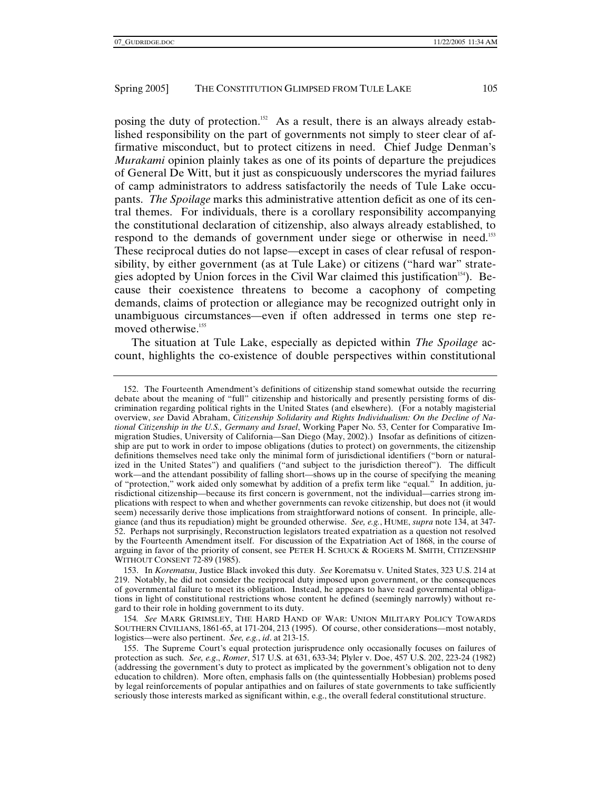posing the duty of protection.<sup>152</sup> As a result, there is an always already established responsibility on the part of governments not simply to steer clear of affirmative misconduct, but to protect citizens in need. Chief Judge Denman's *Murakami* opinion plainly takes as one of its points of departure the prejudices of General De Witt, but it just as conspicuously underscores the myriad failures of camp administrators to address satisfactorily the needs of Tule Lake occupants. *The Spoilage* marks this administrative attention deficit as one of its central themes. For individuals, there is a corollary responsibility accompanying the constitutional declaration of citizenship, also always already established, to respond to the demands of government under siege or otherwise in need.<sup>153</sup> These reciprocal duties do not lapse—except in cases of clear refusal of responsibility, by either government (as at Tule Lake) or citizens ("hard war" strategies adopted by Union forces in the Civil War claimed this justification<sup>154</sup>). Because their coexistence threatens to become a cacophony of competing demands, claims of protection or allegiance may be recognized outright only in unambiguous circumstances—even if often addressed in terms one step removed otherwise.<sup>155</sup>

The situation at Tule Lake, especially as depicted within *The Spoilage* account, highlights the co-existence of double perspectives within constitutional

 153. In *Korematsu*, Justice Black invoked this duty. *See* Korematsu v. United States, 323 U.S. 214 at 219. Notably, he did not consider the reciprocal duty imposed upon government, or the consequences of governmental failure to meet its obligation. Instead, he appears to have read governmental obligations in light of constitutional restrictions whose content he defined (seemingly narrowly) without regard to their role in holding government to its duty.

154*. See* MARK GRIMSLEY, THE HARD HAND OF WAR: UNION MILITARY POLICY TOWARDS SOUTHERN CIVILIANS, 1861-65, at 171-204, 213 (1995). Of course, other considerations—most notably, logistics—were also pertinent. *See, e.g.*, *id*. at 213-15.

 155. The Supreme Court's equal protection jurisprudence only occasionally focuses on failures of protection as such. *See, e.g*., *Romer*, 517 U.S. at 631, 633-34; Plyler v. Doe, 457 U.S. 202, 223-24 (1982) (addressing the government's duty to protect as implicated by the government's obligation not to deny education to children). More often, emphasis falls on (the quintessentially Hobbesian) problems posed by legal reinforcements of popular antipathies and on failures of state governments to take sufficiently seriously those interests marked as significant within, e.g., the overall federal constitutional structure.

 <sup>152.</sup> The Fourteenth Amendment's definitions of citizenship stand somewhat outside the recurring debate about the meaning of "full" citizenship and historically and presently persisting forms of discrimination regarding political rights in the United States (and elsewhere). (For a notably magisterial overview, *see* David Abraham, *Citizenship Solidarity and Rights Individualism: On the Decline of National Citizenship in the U.S., Germany and Israel*, Working Paper No. 53, Center for Comparative Immigration Studies, University of California—San Diego (May, 2002).) Insofar as definitions of citizenship are put to work in order to impose obligations (duties to protect) on governments, the citizenship definitions themselves need take only the minimal form of jurisdictional identifiers ("born or naturalized in the United States") and qualifiers ("and subject to the jurisdiction thereof"). The difficult work—and the attendant possibility of falling short—shows up in the course of specifying the meaning of "protection," work aided only somewhat by addition of a prefix term like "equal." In addition, jurisdictional citizenship—because its first concern is government, not the individual—carries strong implications with respect to when and whether governments can revoke citizenship, but does not (it would seem) necessarily derive those implications from straightforward notions of consent. In principle, allegiance (and thus its repudiation) might be grounded otherwise. *See, e.g.*, HUME, *supra* note 134, at 347- 52. Perhaps not surprisingly, Reconstruction legislators treated expatriation as a question not resolved by the Fourteenth Amendment itself. For discussion of the Expatriation Act of 1868, in the course of arguing in favor of the priority of consent, see PETER H. SCHUCK & ROGERS M. SMITH, CITIZENSHIP WITHOUT CONSENT 72-89 (1985).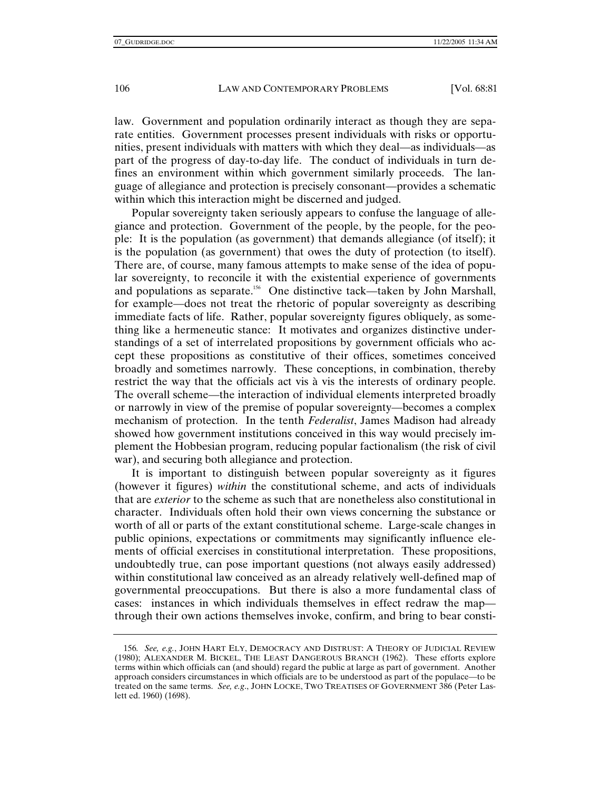law. Government and population ordinarily interact as though they are separate entities. Government processes present individuals with risks or opportunities, present individuals with matters with which they deal—as individuals—as part of the progress of day-to-day life. The conduct of individuals in turn defines an environment within which government similarly proceeds. The language of allegiance and protection is precisely consonant—provides a schematic within which this interaction might be discerned and judged.

Popular sovereignty taken seriously appears to confuse the language of allegiance and protection. Government of the people, by the people, for the people: It is the population (as government) that demands allegiance (of itself); it is the population (as government) that owes the duty of protection (to itself). There are, of course, many famous attempts to make sense of the idea of popular sovereignty, to reconcile it with the existential experience of governments and populations as separate.<sup>156</sup> One distinctive tack—taken by John Marshall, for example—does not treat the rhetoric of popular sovereignty as describing immediate facts of life. Rather, popular sovereignty figures obliquely, as something like a hermeneutic stance: It motivates and organizes distinctive understandings of a set of interrelated propositions by government officials who accept these propositions as constitutive of their offices, sometimes conceived broadly and sometimes narrowly. These conceptions, in combination, thereby restrict the way that the officials act vis à vis the interests of ordinary people. The overall scheme—the interaction of individual elements interpreted broadly or narrowly in view of the premise of popular sovereignty—becomes a complex mechanism of protection. In the tenth *Federalist*, James Madison had already showed how government institutions conceived in this way would precisely implement the Hobbesian program, reducing popular factionalism (the risk of civil war), and securing both allegiance and protection.

It is important to distinguish between popular sovereignty as it figures (however it figures) *within* the constitutional scheme, and acts of individuals that are *exterior* to the scheme as such that are nonetheless also constitutional in character. Individuals often hold their own views concerning the substance or worth of all or parts of the extant constitutional scheme. Large-scale changes in public opinions, expectations or commitments may significantly influence elements of official exercises in constitutional interpretation. These propositions, undoubtedly true, can pose important questions (not always easily addressed) within constitutional law conceived as an already relatively well-defined map of governmental preoccupations. But there is also a more fundamental class of cases: instances in which individuals themselves in effect redraw the map through their own actions themselves invoke, confirm, and bring to bear consti-

<sup>156</sup>*. See, e.g.*, JOHN HART ELY, DEMOCRACY AND DISTRUST: A THEORY OF JUDICIAL REVIEW (1980); ALEXANDER M. BICKEL, THE LEAST DANGEROUS BRANCH (1962). These efforts explore terms within which officials can (and should) regard the public at large as part of government. Another approach considers circumstances in which officials are to be understood as part of the populace—to be treated on the same terms. *See, e.g*., JOHN LOCKE, TWO TREATISES OF GOVERNMENT 386 (Peter Laslett ed. 1960) (1698).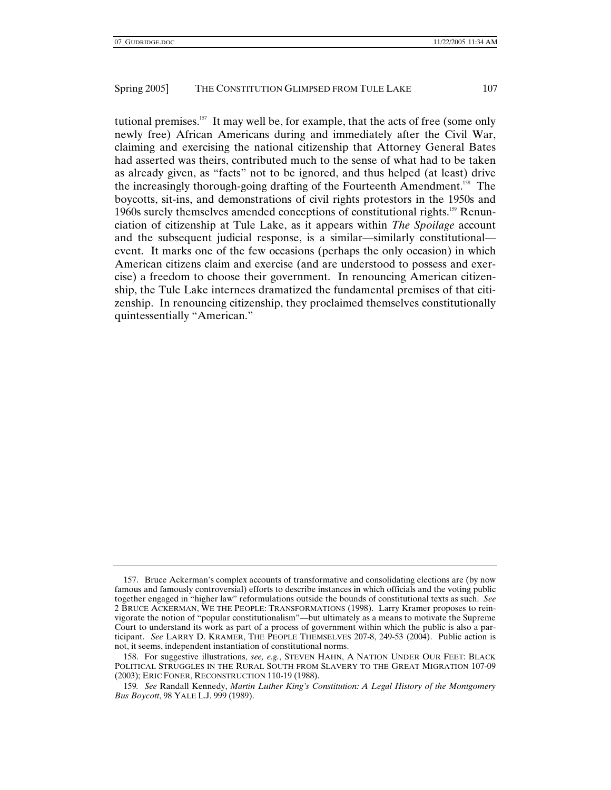tutional premises.<sup>157</sup> It may well be, for example, that the acts of free (some only newly free) African Americans during and immediately after the Civil War, claiming and exercising the national citizenship that Attorney General Bates had asserted was theirs, contributed much to the sense of what had to be taken as already given, as "facts" not to be ignored, and thus helped (at least) drive the increasingly thorough-going drafting of the Fourteenth Amendment.<sup>158</sup> The boycotts, sit-ins, and demonstrations of civil rights protestors in the 1950s and 1960s surely themselves amended conceptions of constitutional rights.159 Renunciation of citizenship at Tule Lake, as it appears within *The Spoilage* account and the subsequent judicial response, is a similar—similarly constitutional event. It marks one of the few occasions (perhaps the only occasion) in which American citizens claim and exercise (and are understood to possess and exercise) a freedom to choose their government. In renouncing American citizenship, the Tule Lake internees dramatized the fundamental premises of that citizenship. In renouncing citizenship, they proclaimed themselves constitutionally quintessentially "American."

 <sup>157.</sup> Bruce Ackerman's complex accounts of transformative and consolidating elections are (by now famous and famously controversial) efforts to describe instances in which officials and the voting public together engaged in "higher law" reformulations outside the bounds of constitutional texts as such. *See* 2 BRUCE ACKERMAN, WE THE PEOPLE: TRANSFORMATIONS (1998). Larry Kramer proposes to reinvigorate the notion of "popular constitutionalism"—but ultimately as a means to motivate the Supreme Court to understand its work as part of a process of government within which the public is also a participant. *See* LARRY D. KRAMER, THE PEOPLE THEMSELVES 207-8, 249-53 (2004). Public action is not, it seems, independent instantiation of constitutional norms.

 <sup>158.</sup> For suggestive illustrations, *see, e.g.*, STEVEN HAHN, A NATION UNDER OUR FEET: BLACK POLITICAL STRUGGLES IN THE RURAL SOUTH FROM SLAVERY TO THE GREAT MIGRATION 107-09 (2003); ERIC FONER, RECONSTRUCTION 110-19 (1988).

<sup>159</sup>*. See* Randall Kennedy, *Martin Luther King's Constitution: A Legal History of the Montgomery Bus Boycott*, 98 YALE L.J. 999 (1989).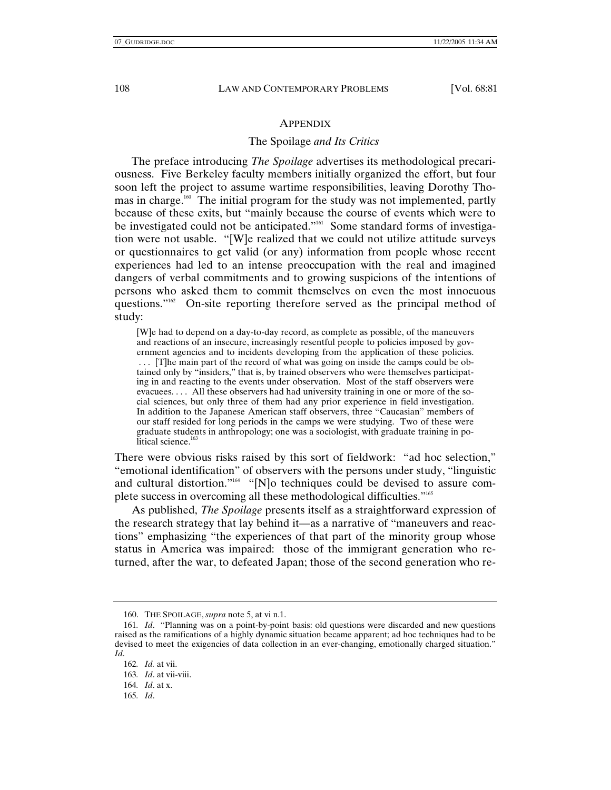## **APPENDIX**

## The Spoilage *and Its Critics*

The preface introducing *The Spoilage* advertises its methodological precariousness. Five Berkeley faculty members initially organized the effort, but four soon left the project to assume wartime responsibilities, leaving Dorothy Thomas in charge.<sup>160</sup> The initial program for the study was not implemented, partly because of these exits, but "mainly because the course of events which were to be investigated could not be anticipated."<sup>161</sup> Some standard forms of investigation were not usable. "[W]e realized that we could not utilize attitude surveys or questionnaires to get valid (or any) information from people whose recent experiences had led to an intense preoccupation with the real and imagined dangers of verbal commitments and to growing suspicions of the intentions of persons who asked them to commit themselves on even the most innocuous questions."162 On-site reporting therefore served as the principal method of study:

[W]e had to depend on a day-to-day record, as complete as possible, of the maneuvers and reactions of an insecure, increasingly resentful people to policies imposed by government agencies and to incidents developing from the application of these policies. . . . [T]he main part of the record of what was going on inside the camps could be obtained only by "insiders," that is, by trained observers who were themselves participating in and reacting to the events under observation. Most of the staff observers were evacuees. . . . All these observers had had university training in one or more of the social sciences, but only three of them had any prior experience in field investigation. In addition to the Japanese American staff observers, three "Caucasian" members of our staff resided for long periods in the camps we were studying. Two of these were graduate students in anthropology; one was a sociologist, with graduate training in political science.<sup>16</sup>

There were obvious risks raised by this sort of fieldwork: "ad hoc selection," "emotional identification" of observers with the persons under study, "linguistic and cultural distortion."<sup>164</sup> "[N]o techniques could be devised to assure complete success in overcoming all these methodological difficulties."165

As published, *The Spoilage* presents itself as a straightforward expression of the research strategy that lay behind it—as a narrative of "maneuvers and reactions" emphasizing "the experiences of that part of the minority group whose status in America was impaired: those of the immigrant generation who returned, after the war, to defeated Japan; those of the second generation who re-

 <sup>160.</sup> THE SPOILAGE, *supra* note 5, at vi n.1.

<sup>161</sup>*. Id*. "Planning was on a point-by-point basis: old questions were discarded and new questions raised as the ramifications of a highly dynamic situation became apparent; ad hoc techniques had to be devised to meet the exigencies of data collection in an ever-changing, emotionally charged situation." *Id*.

<sup>162</sup>*. Id.* at vii.

<sup>163</sup>*. Id*. at vii-viii.

<sup>164</sup>*. Id*. at x.

<sup>165</sup>*. Id*.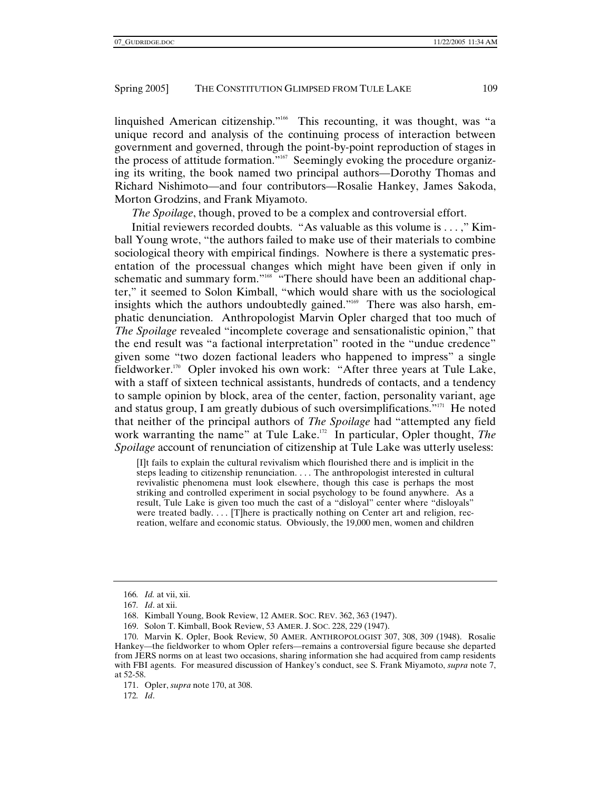linquished American citizenship."166 This recounting, it was thought, was "a unique record and analysis of the continuing process of interaction between government and governed, through the point-by-point reproduction of stages in the process of attitude formation."167 Seemingly evoking the procedure organizing its writing, the book named two principal authors—Dorothy Thomas and Richard Nishimoto—and four contributors—Rosalie Hankey, James Sakoda, Morton Grodzins, and Frank Miyamoto.

*The Spoilage*, though, proved to be a complex and controversial effort.

Initial reviewers recorded doubts. "As valuable as this volume is . . . ," Kimball Young wrote, "the authors failed to make use of their materials to combine sociological theory with empirical findings. Nowhere is there a systematic presentation of the processual changes which might have been given if only in schematic and summary form."<sup>168</sup> "There should have been an additional chapter," it seemed to Solon Kimball, "which would share with us the sociological insights which the authors undoubtedly gained."<sup>169</sup> There was also harsh, emphatic denunciation. Anthropologist Marvin Opler charged that too much of *The Spoilage* revealed "incomplete coverage and sensationalistic opinion," that the end result was "a factional interpretation" rooted in the "undue credence" given some "two dozen factional leaders who happened to impress" a single fieldworker.<sup>170</sup> Opler invoked his own work: "After three years at Tule Lake, with a staff of sixteen technical assistants, hundreds of contacts, and a tendency to sample opinion by block, area of the center, faction, personality variant, age and status group, I am greatly dubious of such oversimplifications."171 He noted that neither of the principal authors of *The Spoilage* had "attempted any field work warranting the name" at Tule Lake.<sup>172</sup> In particular, Opler thought, *The Spoilage* account of renunciation of citizenship at Tule Lake was utterly useless:

[I]t fails to explain the cultural revivalism which flourished there and is implicit in the steps leading to citizenship renunciation. . . . The anthropologist interested in cultural revivalistic phenomena must look elsewhere, though this case is perhaps the most striking and controlled experiment in social psychology to be found anywhere. As a result, Tule Lake is given too much the cast of a "disloyal" center where "disloyals" were treated badly. . . . [T]here is practically nothing on Center art and religion, recreation, welfare and economic status. Obviously, the 19,000 men, women and children

<sup>166</sup>*. Id.* at vii, xii.

<sup>167</sup>*. Id*. at xii.

 <sup>168.</sup> Kimball Young, Book Review, 12 AMER. SOC. REV. 362, 363 (1947).

 <sup>169.</sup> Solon T. Kimball, Book Review, 53 AMER. J. SOC. 228, 229 (1947).

 <sup>170.</sup> Marvin K. Opler, Book Review, 50 AMER. ANTHROPOLOGIST 307, 308, 309 (1948). Rosalie Hankey—the fieldworker to whom Opler refers—remains a controversial figure because she departed from JERS norms on at least two occasions, sharing information she had acquired from camp residents with FBI agents. For measured discussion of Hankey's conduct, see S. Frank Miyamoto, *supra* note 7, at 52-58.

 <sup>171.</sup> Opler, *supra* note 170, at 308.

<sup>172</sup>*. Id*.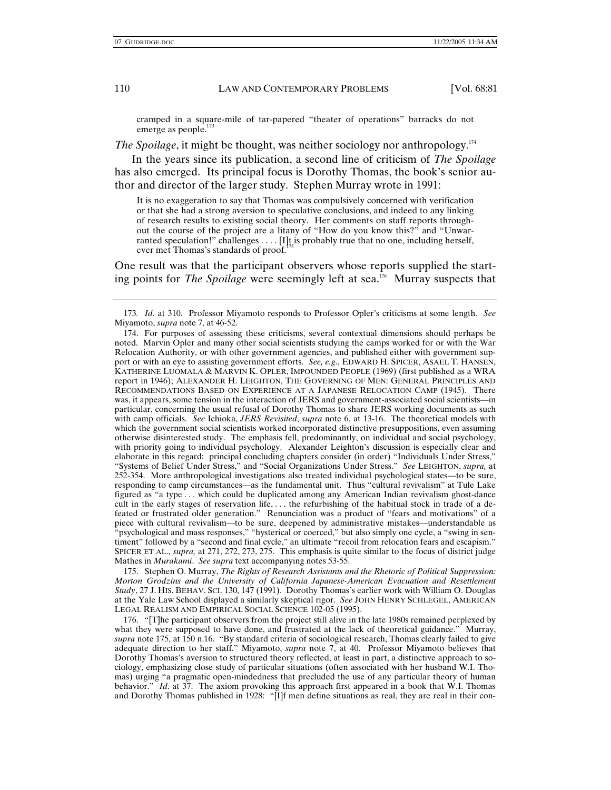cramped in a square-mile of tar-papered "theater of operations" barracks do not emerge as people.<sup>173</sup>

*The Spoilage*, it might be thought, was neither sociology nor anthropology.<sup>174</sup>

In the years since its publication, a second line of criticism of *The Spoilage* has also emerged. Its principal focus is Dorothy Thomas, the book's senior author and director of the larger study. Stephen Murray wrote in 1991:

It is no exaggeration to say that Thomas was compulsively concerned with verification or that she had a strong aversion to speculative conclusions, and indeed to any linking of research results to existing social theory. Her comments on staff reports throughout the course of the project are a litany of "How do you know this?" and "Unwarranted speculation!" challenges . . . . [I]t is probably true that no one, including herself, ever met Thomas's standards of proof.<sup>1</sup>

One result was that the participant observers whose reports supplied the starting points for *The Spoilage* were seemingly left at sea.<sup>176</sup> Murray suspects that

 175. Stephen O. Murray, *The Rights of Research Assistants and the Rhetoric of Political Suppression: Morton Grodzins and the University of California Japanese-American Evacuation and Resettlement Study*, 27 J. HIS. BEHAV. SCI. 130, 147 (1991). Dorothy Thomas's earlier work with William O. Douglas at the Yale Law School displayed a similarly skeptical rigor. *See* JOHN HENRY SCHLEGEL, AMERICAN LEGAL REALISM AND EMPIRICAL SOCIAL SCIENCE 102-05 (1995).

 176. "[T]he participant observers from the project still alive in the late 1980s remained perplexed by what they were supposed to have done, and frustrated at the lack of theoretical guidance." Murray, *supra* note 175, at 150 n.16. "By standard criteria of sociological research, Thomas clearly failed to give adequate direction to her staff." Miyamoto, *supra* note 7, at 40. Professor Miyamoto believes that Dorothy Thomas's aversion to structured theory reflected, at least in part, a distinctive approach to sociology, emphasizing close study of particular situations (often associated with her husband W.I. Thomas) urging "a pragmatic open-mindedness that precluded the use of any particular theory of human behavior." *Id*. at 37. The axiom provoking this approach first appeared in a book that W.I. Thomas and Dorothy Thomas published in 1928: "[I]f men define situations as real, they are real in their con-

<sup>173</sup>*. Id*. at 310. Professor Miyamoto responds to Professor Opler's criticisms at some length. *See* Miyamoto, *supra* note 7, at 46-52.

 <sup>174.</sup> For purposes of assessing these criticisms, several contextual dimensions should perhaps be noted. Marvin Opler and many other social scientists studying the camps worked for or with the War Relocation Authority, or with other government agencies, and published either with government support or with an eye to assisting government efforts. *See, e.g*., EDWARD H. SPICER, ASAEL T. HANSEN, KATHERINE LUOMALA & MARVIN K. OPLER, IMPOUNDED PEOPLE (1969) (first published as a WRA report in 1946); ALEXANDER H. LEIGHTON, THE GOVERNING OF MEN: GENERAL PRINCIPLES AND RECOMMENDATIONS BASED ON EXPERIENCE AT A JAPANESE RELOCATION CAMP (1945). There was, it appears, some tension in the interaction of JERS and government-associated social scientists—in particular, concerning the usual refusal of Dorothy Thomas to share JERS working documents as such with camp officials. *See* Ichioka, *JERS Revisited*, *supra* note 6, at 13-16. The theoretical models with which the government social scientists worked incorporated distinctive presuppositions, even assuming otherwise disinterested study. The emphasis fell, predominantly, on individual and social psychology, with priority going to individual psychology. Alexander Leighton's discussion is especially clear and elaborate in this regard: principal concluding chapters consider (in order) "Individuals Under Stress," "Systems of Belief Under Stress," and "Social Organizations Under Stress." *See* LEIGHTON, *supra,* at 252-354. More anthropological investigations also treated individual psychological states—to be sure, responding to camp circumstances—as the fundamental unit. Thus "cultural revivalism" at Tule Lake figured as "a type . . . which could be duplicated among any American Indian revivalism ghost-dance cult in the early stages of reservation life, . . . the refurbishing of the habitual stock in trade of a defeated or frustrated older generation." Renunciation was a product of "fears and motivations" of a piece with cultural revivalism—to be sure, deepened by administrative mistakes—understandable as "psychological and mass responses," "hysterical or coerced," but also simply one cycle, a "swing in sentiment" followed by a "second and final cycle," an ultimate "recoil from relocation fears and escapism." SPICER ET AL., *supra,* at 271, 272, 273, 275. This emphasis is quite similar to the focus of district judge Mathes in *Murakami*. *See supra* text accompanying notes 53-55.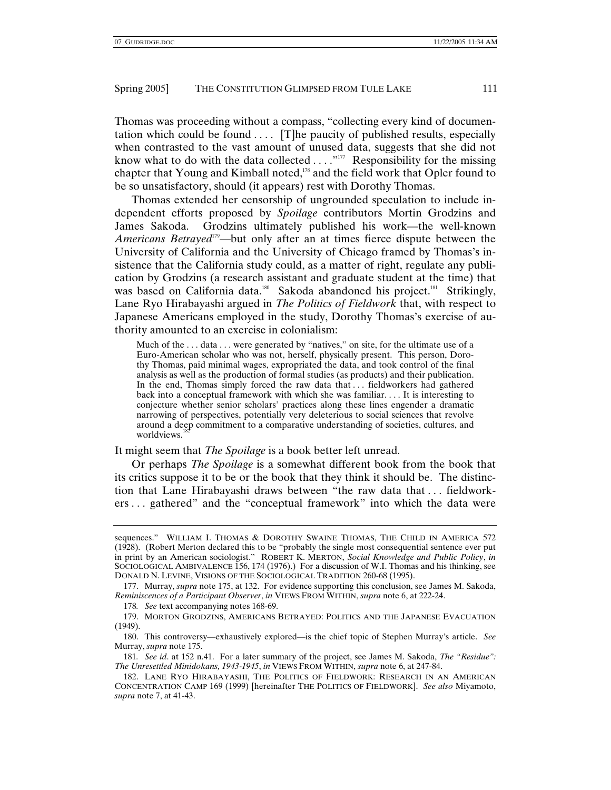Thomas was proceeding without a compass, "collecting every kind of documentation which could be found  $\dots$  [T]he paucity of published results, especially when contrasted to the vast amount of unused data, suggests that she did not know what to do with the data collected  $\dots$ ."<sup>177</sup> Responsibility for the missing chapter that Young and Kimball noted,<sup>178</sup> and the field work that Opler found to be so unsatisfactory, should (it appears) rest with Dorothy Thomas.

Thomas extended her censorship of ungrounded speculation to include independent efforts proposed by *Spoilage* contributors Mortin Grodzins and James Sakoda. Grodzins ultimately published his work—the well-known *Americans Betrayed*<sup>179</sup>—but only after an at times fierce dispute between the University of California and the University of Chicago framed by Thomas's insistence that the California study could, as a matter of right, regulate any publication by Grodzins (a research assistant and graduate student at the time) that was based on California data.<sup>180</sup> Sakoda abandoned his project.<sup>181</sup> Strikingly, Lane Ryo Hirabayashi argued in *The Politics of Fieldwork* that, with respect to Japanese Americans employed in the study, Dorothy Thomas's exercise of authority amounted to an exercise in colonialism:

Much of the ... data ... were generated by "natives," on site, for the ultimate use of a Euro-American scholar who was not, herself, physically present. This person, Dorothy Thomas, paid minimal wages, expropriated the data, and took control of the final analysis as well as the production of formal studies (as products) and their publication. In the end, Thomas simply forced the raw data that . . . fieldworkers had gathered back into a conceptual framework with which she was familiar. . . . It is interesting to conjecture whether senior scholars' practices along these lines engender a dramatic narrowing of perspectives, potentially very deleterious to social sciences that revolve around a deep commitment to a comparative understanding of societies, cultures, and worldviews. $1$ 

It might seem that *The Spoilage* is a book better left unread.

Or perhaps *The Spoilage* is a somewhat different book from the book that its critics suppose it to be or the book that they think it should be. The distinction that Lane Hirabayashi draws between "the raw data that . . . fieldworkers . . . gathered" and the "conceptual framework" into which the data were

178*. See* text accompanying notes 168-69.

sequences." WILLIAM I. THOMAS & DOROTHY SWAINE THOMAS, THE CHILD IN AMERICA 572 (1928). (Robert Merton declared this to be "probably the single most consequential sentence ever put in print by an American sociologist." ROBERT K. MERTON, *Social Knowledge and Public Policy*, *in* SOCIOLOGICAL AMBIVALENCE 156, 174 (1976).) For a discussion of W.I. Thomas and his thinking, see DONALD N. LEVINE, VISIONS OF THE SOCIOLOGICAL TRADITION 260-68 (1995).

 <sup>177.</sup> Murray, *supra* note 175, at 132. For evidence supporting this conclusion, see James M. Sakoda, *Reminiscences of a Participant Observer*, *in* VIEWS FROM WITHIN, *supra* note 6, at 222-24.

 <sup>179.</sup> MORTON GRODZINS, AMERICANS BETRAYED: POLITICS AND THE JAPANESE EVACUATION (1949).

 <sup>180.</sup> This controversy—exhaustively explored—is the chief topic of Stephen Murray's article. *See* Murray, *supra* note 175.

<sup>181</sup>*. See id*. at 152 n.41. For a later summary of the project, see James M. Sakoda, *The "Residue": The Unresettled Minidokans, 1943-1945*, *in* VIEWS FROM WITHIN, *supra* note 6, at 247-84.

 <sup>182.</sup> LANE RYO HIRABAYASHI, THE POLITICS OF FIELDWORK: RESEARCH IN AN AMERICAN CONCENTRATION CAMP 169 (1999) [hereinafter THE POLITICS OF FIELDWORK]. *See also* Miyamoto, *supra* note 7, at 41-43.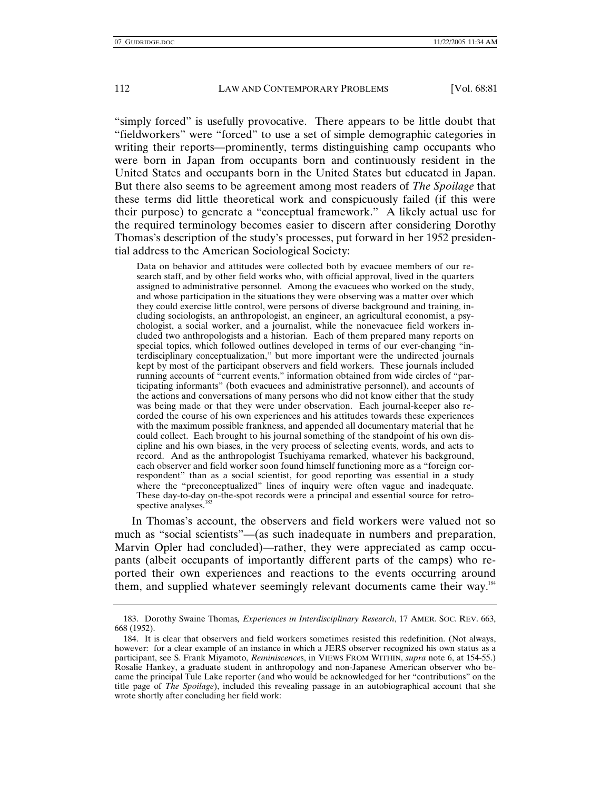"simply forced" is usefully provocative. There appears to be little doubt that "fieldworkers" were "forced" to use a set of simple demographic categories in writing their reports—prominently, terms distinguishing camp occupants who were born in Japan from occupants born and continuously resident in the United States and occupants born in the United States but educated in Japan. But there also seems to be agreement among most readers of *The Spoilage* that these terms did little theoretical work and conspicuously failed (if this were their purpose) to generate a "conceptual framework." A likely actual use for the required terminology becomes easier to discern after considering Dorothy Thomas's description of the study's processes, put forward in her 1952 presidential address to the American Sociological Society:

Data on behavior and attitudes were collected both by evacuee members of our research staff, and by other field works who, with official approval, lived in the quarters assigned to administrative personnel. Among the evacuees who worked on the study, and whose participation in the situations they were observing was a matter over which they could exercise little control, were persons of diverse background and training, including sociologists, an anthropologist, an engineer, an agricultural economist, a psychologist, a social worker, and a journalist, while the nonevacuee field workers included two anthropologists and a historian. Each of them prepared many reports on special topics, which followed outlines developed in terms of our ever-changing "interdisciplinary conceptualization," but more important were the undirected journals kept by most of the participant observers and field workers. These journals included running accounts of "current events," information obtained from wide circles of "participating informants" (both evacuees and administrative personnel), and accounts of the actions and conversations of many persons who did not know either that the study was being made or that they were under observation. Each journal-keeper also recorded the course of his own experiences and his attitudes towards these experiences with the maximum possible frankness, and appended all documentary material that he could collect. Each brought to his journal something of the standpoint of his own discipline and his own biases, in the very process of selecting events, words, and acts to record. And as the anthropologist Tsuchiyama remarked, whatever his background, each observer and field worker soon found himself functioning more as a "foreign correspondent" than as a social scientist, for good reporting was essential in a study where the "preconceptualized" lines of inquiry were often vague and inadequate. These day-to-day on-the-spot records were a principal and essential source for retrospective analyses.<sup>1</sup>

In Thomas's account, the observers and field workers were valued not so much as "social scientists"—(as such inadequate in numbers and preparation, Marvin Opler had concluded)—rather, they were appreciated as camp occupants (albeit occupants of importantly different parts of the camps) who reported their own experiences and reactions to the events occurring around them, and supplied whatever seemingly relevant documents came their way.184

 <sup>183.</sup> Dorothy Swaine Thomas*, Experiences in Interdisciplinary Research*, 17 AMER. SOC. REV. 663, 668 (1952).

 <sup>184.</sup> It is clear that observers and field workers sometimes resisted this redefinition. (Not always, however: for a clear example of an instance in which a JERS observer recognized his own status as a participant, see S. Frank Miyamoto, *Reminiscence*s, in VIEWS FROM WITHIN, *supra* note 6, at 154-55.) Rosalie Hankey, a graduate student in anthropology and non-Japanese American observer who became the principal Tule Lake reporter (and who would be acknowledged for her "contributions" on the title page of *The Spoilage*), included this revealing passage in an autobiographical account that she wrote shortly after concluding her field work: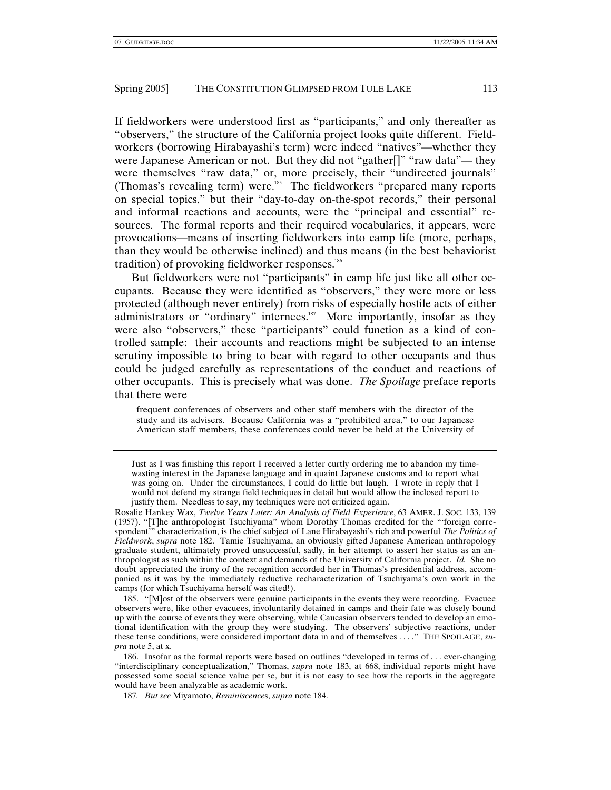If fieldworkers were understood first as "participants," and only thereafter as "observers," the structure of the California project looks quite different. Fieldworkers (borrowing Hirabayashi's term) were indeed "natives"—whether they were Japanese American or not. But they did not "gather<sup>[]"</sup> "raw data"— they were themselves "raw data," or, more precisely, their "undirected journals" (Thomas's revealing term) were.<sup>185</sup> The fieldworkers "prepared many reports on special topics," but their "day-to-day on-the-spot records," their personal and informal reactions and accounts, were the "principal and essential" resources. The formal reports and their required vocabularies, it appears, were provocations—means of inserting fieldworkers into camp life (more, perhaps, than they would be otherwise inclined) and thus means (in the best behaviorist tradition) of provoking fieldworker responses.<sup>186</sup>

But fieldworkers were not "participants" in camp life just like all other occupants. Because they were identified as "observers," they were more or less protected (although never entirely) from risks of especially hostile acts of either administrators or "ordinary" internees.<sup>187</sup> More importantly, insofar as they were also "observers," these "participants" could function as a kind of controlled sample: their accounts and reactions might be subjected to an intense scrutiny impossible to bring to bear with regard to other occupants and thus could be judged carefully as representations of the conduct and reactions of other occupants. This is precisely what was done. *The Spoilage* preface reports that there were

frequent conferences of observers and other staff members with the director of the study and its advisers. Because California was a "prohibited area," to our Japanese American staff members, these conferences could never be held at the University of

 185. "[M]ost of the observers were genuine participants in the events they were recording. Evacuee observers were, like other evacuees, involuntarily detained in camps and their fate was closely bound up with the course of events they were observing, while Caucasian observers tended to develop an emotional identification with the group they were studying. The observers' subjective reactions, under these tense conditions, were considered important data in and of themselves . . . ." THE SPOILAGE, *supra* note 5, at x.

187*. But see* Miyamoto, *Reminiscence*s, *supra* note 184.

Just as I was finishing this report I received a letter curtly ordering me to abandon my timewasting interest in the Japanese language and in quaint Japanese customs and to report what was going on. Under the circumstances, I could do little but laugh. I wrote in reply that I would not defend my strange field techniques in detail but would allow the inclosed report to justify them. Needless to say, my techniques were not criticized again.

Rosalie Hankey Wax, *Twelve Years Later: An Analysis of Field Experience*, 63 AMER. J. SOC. 133, 139 (1957). "[T]he anthropologist Tsuchiyama" whom Dorothy Thomas credited for the "'foreign correspondent'" characterization, is the chief subject of Lane Hirabayashi's rich and powerful *The Politics of Fieldwork*, *supra* note 182. Tamie Tsuchiyama, an obviously gifted Japanese American anthropology graduate student, ultimately proved unsuccessful, sadly, in her attempt to assert her status as an anthropologist as such within the context and demands of the University of California project. *Id.* She no doubt appreciated the irony of the recognition accorded her in Thomas's presidential address, accompanied as it was by the immediately reductive recharacterization of Tsuchiyama's own work in the camps (for which Tsuchiyama herself was cited!).

 <sup>186.</sup> Insofar as the formal reports were based on outlines "developed in terms of . . . ever-changing "interdisciplinary conceptualization," Thomas, *supra* note 183, at 668, individual reports might have possessed some social science value per se, but it is not easy to see how the reports in the aggregate would have been analyzable as academic work.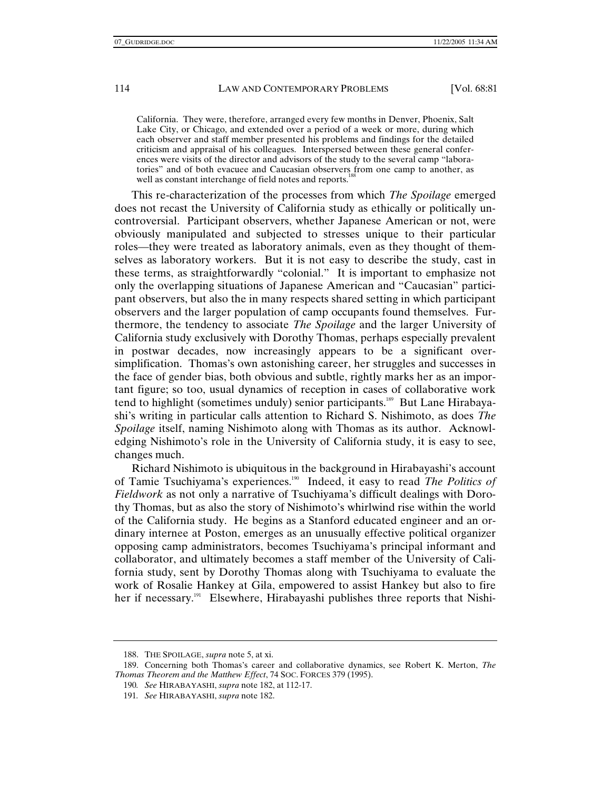California. They were, therefore, arranged every few months in Denver, Phoenix, Salt Lake City, or Chicago, and extended over a period of a week or more, during which each observer and staff member presented his problems and findings for the detailed criticism and appraisal of his colleagues. Interspersed between these general conferences were visits of the director and advisors of the study to the several camp "laboratories" and of both evacuee and Caucasian observers from one camp to another, as well as constant interchange of field notes and reports.<sup>1</sup>

This re-characterization of the processes from which *The Spoilage* emerged does not recast the University of California study as ethically or politically uncontroversial. Participant observers, whether Japanese American or not, were obviously manipulated and subjected to stresses unique to their particular roles—they were treated as laboratory animals, even as they thought of themselves as laboratory workers. But it is not easy to describe the study, cast in these terms, as straightforwardly "colonial." It is important to emphasize not only the overlapping situations of Japanese American and "Caucasian" participant observers, but also the in many respects shared setting in which participant observers and the larger population of camp occupants found themselves. Furthermore, the tendency to associate *The Spoilage* and the larger University of California study exclusively with Dorothy Thomas, perhaps especially prevalent in postwar decades, now increasingly appears to be a significant oversimplification. Thomas's own astonishing career, her struggles and successes in the face of gender bias, both obvious and subtle, rightly marks her as an important figure; so too, usual dynamics of reception in cases of collaborative work tend to highlight (sometimes unduly) senior participants.<sup>189</sup> But Lane Hirabayashi's writing in particular calls attention to Richard S. Nishimoto, as does *The Spoilage* itself, naming Nishimoto along with Thomas as its author. Acknowledging Nishimoto's role in the University of California study, it is easy to see, changes much.

Richard Nishimoto is ubiquitous in the background in Hirabayashi's account of Tamie Tsuchiyama's experiences.190 Indeed, it easy to read *The Politics of Fieldwork* as not only a narrative of Tsuchiyama's difficult dealings with Dorothy Thomas, but as also the story of Nishimoto's whirlwind rise within the world of the California study. He begins as a Stanford educated engineer and an ordinary internee at Poston, emerges as an unusually effective political organizer opposing camp administrators, becomes Tsuchiyama's principal informant and collaborator, and ultimately becomes a staff member of the University of California study, sent by Dorothy Thomas along with Tsuchiyama to evaluate the work of Rosalie Hankey at Gila, empowered to assist Hankey but also to fire her if necessary.<sup>191</sup> Elsewhere, Hirabayashi publishes three reports that Nishi-

 <sup>188.</sup> THE SPOILAGE, *supra* note 5, at xi.

 <sup>189.</sup> Concerning both Thomas's career and collaborative dynamics, see Robert K. Merton, *The Thomas Theorem and the Matthew Effect*, 74 SOC. FORCES 379 (1995).

<sup>190</sup>*. See* HIRABAYASHI, *supra* note 182, at 112-17.

<sup>191</sup>*. See* HIRABAYASHI, *supra* note 182.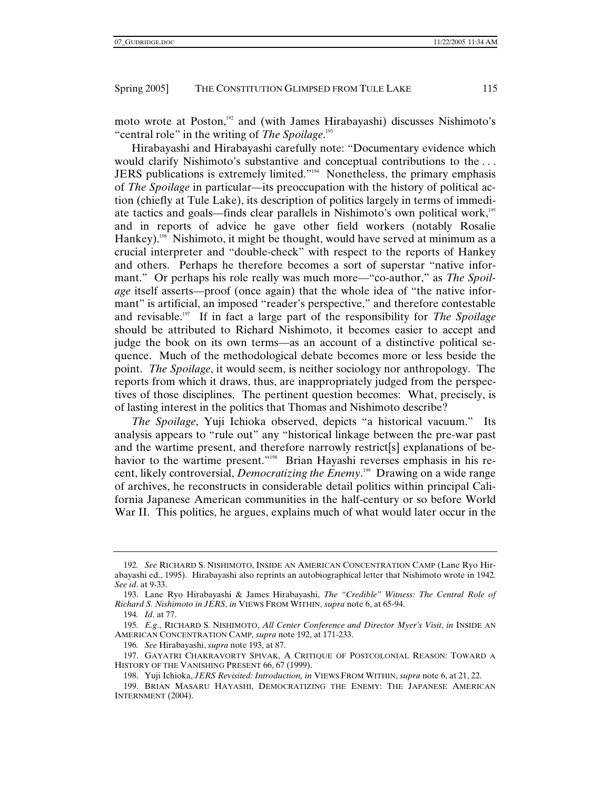moto wrote at Poston,<sup>192</sup> and (with James Hirabayashi) discusses Nishimoto's "central role" in the writing of *The Spoilage*. 193

Hirabayashi and Hirabayashi carefully note: "Documentary evidence which would clarify Nishimoto's substantive and conceptual contributions to the . . . JERS publications is extremely limited."194 Nonetheless, the primary emphasis of *The Spoilage* in particular—its preoccupation with the history of political action (chiefly at Tule Lake), its description of politics largely in terms of immediate tactics and goals—finds clear parallels in Nishimoto's own political work,<sup>195</sup> and in reports of advice he gave other field workers (notably Rosalie Hankey).<sup>196</sup> Nishimoto, it might be thought, would have served at minimum as a crucial interpreter and "double-check" with respect to the reports of Hankey and others. Perhaps he therefore becomes a sort of superstar "native informant." Or perhaps his role really was much more—"co-author," as *The Spoilage* itself asserts—proof (once again) that the whole idea of "the native informant" is artificial, an imposed "reader's perspective," and therefore contestable and revisable.197 If in fact a large part of the responsibility for *The Spoilage* should be attributed to Richard Nishimoto, it becomes easier to accept and judge the book on its own terms—as an account of a distinctive political sequence. Much of the methodological debate becomes more or less beside the point. *The Spoilage*, it would seem, is neither sociology nor anthropology. The reports from which it draws, thus, are inappropriately judged from the perspectives of those disciplines. The pertinent question becomes: What, precisely, is of lasting interest in the politics that Thomas and Nishimoto describe?

*The Spoilage*, Yuji Ichioka observed, depicts "a historical vacuum." Its analysis appears to "rule out" any "historical linkage between the pre-war past and the wartime present, and therefore narrowly restrict[s] explanations of behavior to the wartime present."<sup>198</sup> Brian Hayashi reverses emphasis in his recent, likely controversial, *Democratizing the Enemy*. 199 Drawing on a wide range of archives, he reconstructs in considerable detail politics within principal California Japanese American communities in the half-century or so before World War II. This politics, he argues, explains much of what would later occur in the

196*. See* Hirabayashi, *supra* note 193, at 87.

<sup>192</sup>*. See* RICHARD S. NISHIMOTO, INSIDE AN AMERICAN CONCENTRATION CAMP (Lane Ryo Hirabayashi ed., 1995). Hirabayashi also reprints an autobiographical letter that Nishimoto wrote in 1942. *See id*. at 9-33.

 <sup>193.</sup> Lane Ryo Hirabayashi & James Hirabayashi, *The "Credible" Witness: The Central Role of Richard S. Nishimoto in JERS*, *in* VIEWS FROM WITHIN, *supra* note 6, at 65-94.

<sup>194</sup>*. Id*. at 77.

<sup>195</sup>*. E.g*., RICHARD S. NISHIMOTO, *All Center Conference and Director Myer's Visit*, *in* INSIDE AN AMERICAN CONCENTRATION CAMP, *supra* note 192, at 171-233.

 <sup>197.</sup> GAYATRI CHAKRAVORTY SPIVAK, A CRITIQUE OF POSTCOLONIAL REASON: TOWARD A HISTORY OF THE VANISHING PRESENT 66, 67 (1999).

 <sup>198.</sup> Yuji Ichioka, *JERS Revisited: Introduction, in* VIEWS FROM WITHIN, *supra* note 6, at 21, 22.

 <sup>199.</sup> BRIAN MASARU HAYASHI, DEMOCRATIZING THE ENEMY: THE JAPANESE AMERICAN INTERNMENT (2004).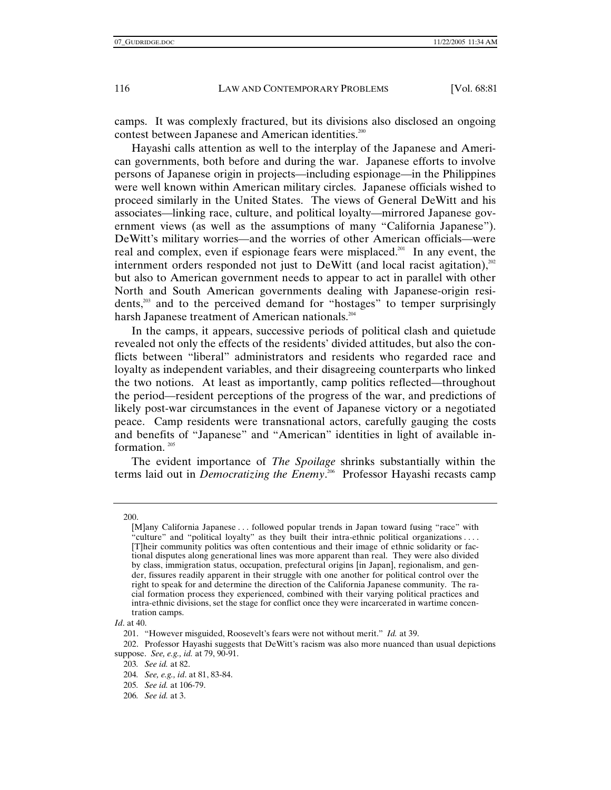camps. It was complexly fractured, but its divisions also disclosed an ongoing contest between Japanese and American identities.<sup>200</sup>

Hayashi calls attention as well to the interplay of the Japanese and American governments, both before and during the war. Japanese efforts to involve persons of Japanese origin in projects—including espionage—in the Philippines were well known within American military circles. Japanese officials wished to proceed similarly in the United States. The views of General DeWitt and his associates—linking race, culture, and political loyalty—mirrored Japanese government views (as well as the assumptions of many "California Japanese"). DeWitt's military worries—and the worries of other American officials—were real and complex, even if espionage fears were misplaced.<sup>201</sup> In any event, the internment orders responded not just to DeWitt (and local racist agitation), $^{202}$ but also to American government needs to appear to act in parallel with other North and South American governments dealing with Japanese-origin residents,203 and to the perceived demand for "hostages" to temper surprisingly harsh Japanese treatment of American nationals.<sup>204</sup>

In the camps, it appears, successive periods of political clash and quietude revealed not only the effects of the residents' divided attitudes, but also the conflicts between "liberal" administrators and residents who regarded race and loyalty as independent variables, and their disagreeing counterparts who linked the two notions. At least as importantly, camp politics reflected—throughout the period—resident perceptions of the progress of the war, and predictions of likely post-war circumstances in the event of Japanese victory or a negotiated peace. Camp residents were transnational actors, carefully gauging the costs and benefits of "Japanese" and "American" identities in light of available information.<sup>205</sup>

The evident importance of *The Spoilage* shrinks substantially within the terms laid out in *Democratizing the Enemy*.<sup>206</sup> Professor Hayashi recasts camp

*Id*. at 40.

201. "However misguided, Roosevelt's fears were not without merit." *Id.* at 39.

 202. Professor Hayashi suggests that DeWitt's racism was also more nuanced than usual depictions suppose. *See, e.g., id.* at 79, 90-91.

 <sup>200.</sup> 

<sup>[</sup>M]any California Japanese . . . followed popular trends in Japan toward fusing "race" with "culture" and "political loyalty" as they built their intra-ethnic political organizations . . . . [T]heir community politics was often contentious and their image of ethnic solidarity or factional disputes along generational lines was more apparent than real. They were also divided by class, immigration status, occupation, prefectural origins [in Japan], regionalism, and gender, fissures readily apparent in their struggle with one another for political control over the right to speak for and determine the direction of the California Japanese community. The racial formation process they experienced, combined with their varying political practices and intra-ethnic divisions, set the stage for conflict once they were incarcerated in wartime concentration camps.

<sup>203</sup>*. See id.* at 82.

<sup>204</sup>*. See, e.g., id*. at 81, 83-84.

<sup>205</sup>*. See id.* at 106-79.

<sup>206</sup>*. See id.* at 3.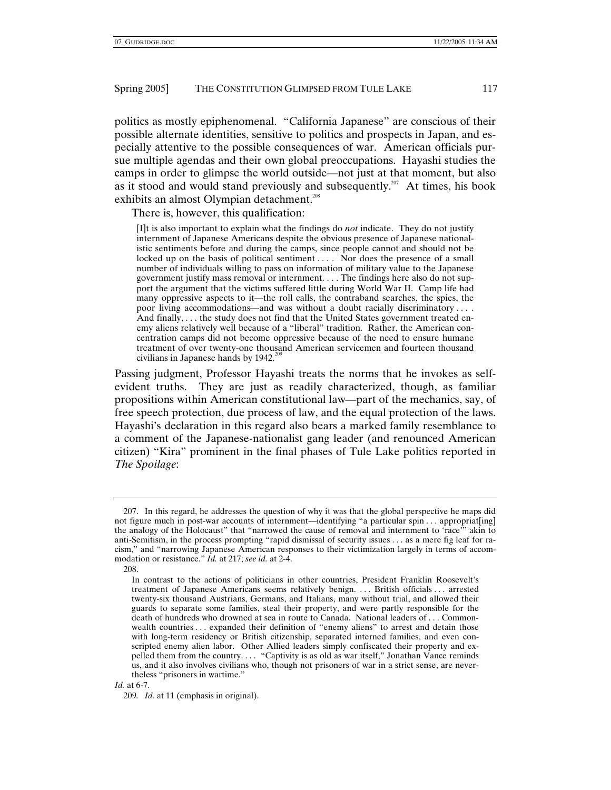politics as mostly epiphenomenal. "California Japanese" are conscious of their possible alternate identities, sensitive to politics and prospects in Japan, and especially attentive to the possible consequences of war. American officials pursue multiple agendas and their own global preoccupations. Hayashi studies the camps in order to glimpse the world outside—not just at that moment, but also as it stood and would stand previously and subsequently.<sup>207</sup> At times, his book exhibits an almost Olympian detachment.<sup>208</sup>

There is, however, this qualification:

[I]t is also important to explain what the findings do *not* indicate. They do not justify internment of Japanese Americans despite the obvious presence of Japanese nationalistic sentiments before and during the camps, since people cannot and should not be locked up on the basis of political sentiment ... . Nor does the presence of a small number of individuals willing to pass on information of military value to the Japanese government justify mass removal or internment. . . . The findings here also do not support the argument that the victims suffered little during World War II. Camp life had many oppressive aspects to it—the roll calls, the contraband searches, the spies, the poor living accommodations—and was without a doubt racially discriminatory . . . . And finally, . . . the study does not find that the United States government treated enemy aliens relatively well because of a "liberal" tradition. Rather, the American concentration camps did not become oppressive because of the need to ensure humane treatment of over twenty-one thousand American servicemen and fourteen thousand civilians in Japanese hands by  $1942.^{205}$ 

Passing judgment, Professor Hayashi treats the norms that he invokes as selfevident truths. They are just as readily characterized, though, as familiar propositions within American constitutional law—part of the mechanics, say, of free speech protection, due process of law, and the equal protection of the laws. Hayashi's declaration in this regard also bears a marked family resemblance to a comment of the Japanese-nationalist gang leader (and renounced American citizen) "Kira" prominent in the final phases of Tule Lake politics reported in *The Spoilage*:

#### *Id.* at 6-7.

 <sup>207.</sup> In this regard, he addresses the question of why it was that the global perspective he maps did not figure much in post-war accounts of internment—identifying "a particular spin . . . appropriat[ing] the analogy of the Holocaust" that "narrowed the cause of removal and internment to 'race'" akin to anti-Semitism, in the process prompting "rapid dismissal of security issues . . . as a mere fig leaf for racism," and "narrowing Japanese American responses to their victimization largely in terms of accommodation or resistance." *Id.* at 217; *see id.* at 2-4.

 <sup>208.</sup> 

In contrast to the actions of politicians in other countries, President Franklin Roosevelt's treatment of Japanese Americans seems relatively benign. . . . British officials . . . arrested twenty-six thousand Austrians, Germans, and Italians, many without trial, and allowed their guards to separate some families, steal their property, and were partly responsible for the death of hundreds who drowned at sea in route to Canada. National leaders of . . . Commonwealth countries . . . expanded their definition of "enemy aliens" to arrest and detain those with long-term residency or British citizenship, separated interned families, and even conscripted enemy alien labor. Other Allied leaders simply confiscated their property and expelled them from the country. . . . "Captivity is as old as war itself," Jonathan Vance reminds us, and it also involves civilians who, though not prisoners of war in a strict sense, are nevertheless "prisoners in wartime."

<sup>209</sup>*. Id.* at 11 (emphasis in original).